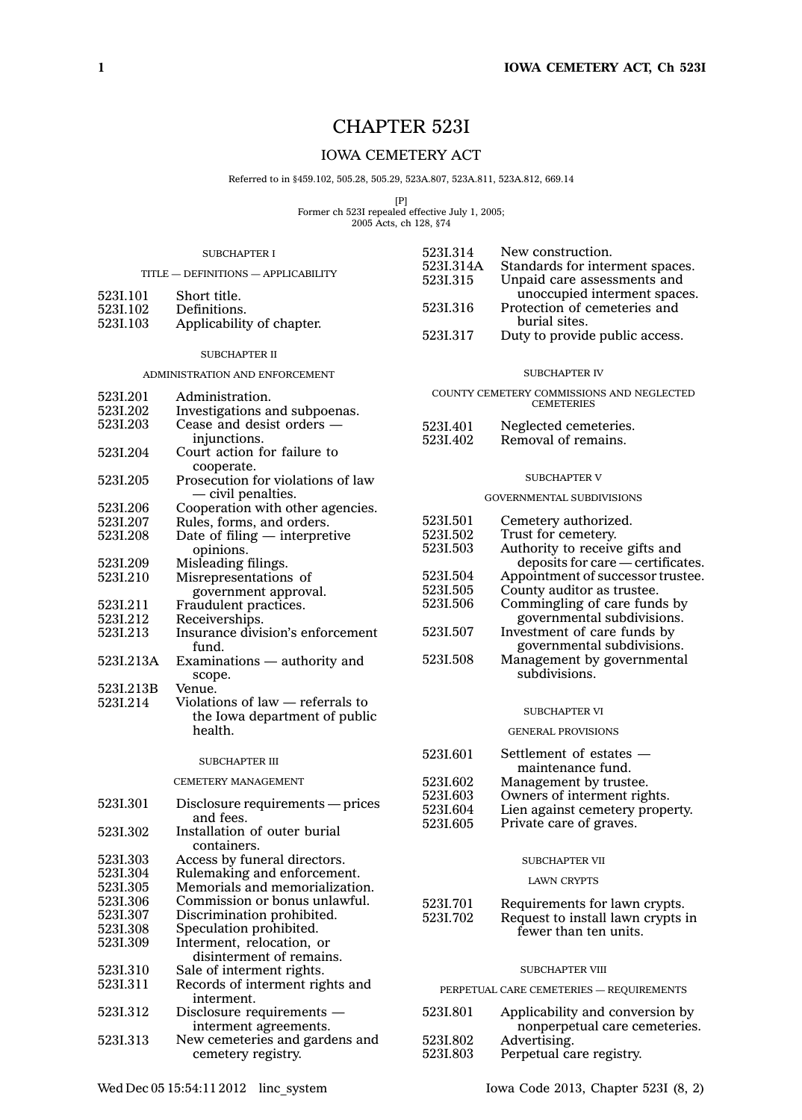# CHAPTER 523I

## IOWA CEMETERY ACT

Referred to in §459.102, 505.28, 505.29, 523A.807, 523A.811, 523A.812, 669.14

[P] Former ch 523I repealed effective July 1, 2005; 2005 Acts, ch 128, §74

523I.314 New construction.

#### SUBCHAPTER I

|                                | TITLE - DEFINITIONS - APPLICABILITY      | 523I.314A<br>5231.315 | Standards for interment spaces.<br>Unpaid care assessments and |
|--------------------------------|------------------------------------------|-----------------------|----------------------------------------------------------------|
| 523I.101                       | Short title.                             |                       | unoccupied interment spaces.                                   |
| 523I.102                       | Definitions.                             | 5231.316              | Protection of cemeteries and                                   |
| 523I.103                       | Applicability of chapter.                |                       | burial sites.                                                  |
|                                |                                          | 5231.317              | Duty to provide public access.                                 |
|                                | <b>SUBCHAPTER II</b>                     |                       |                                                                |
| ADMINISTRATION AND ENFORCEMENT |                                          |                       | <b>SUBCHAPTER IV</b>                                           |
| 523I.201                       | Administration.                          |                       | COUNTY CEMETERY COMMISSIONS AND NEGLECTED                      |
| 5231.202                       | Investigations and subpoenas.            |                       | <b>CEMETERIES</b>                                              |
| 5231.203                       | Cease and desist orders -                | 523I.401              | Neglected cemeteries.                                          |
|                                | injunctions.                             | 523I.402              | Removal of remains.                                            |
| 5231.204                       | Court action for failure to              |                       |                                                                |
|                                | cooperate.                               |                       |                                                                |
| 5231.205                       | Prosecution for violations of law        |                       | <b>SUBCHAPTER V</b>                                            |
|                                | $-$ civil penalties.                     |                       | <b>GOVERNMENTAL SUBDIVISIONS</b>                               |
| 5231.206                       | Cooperation with other agencies.         |                       |                                                                |
| 5231.207                       | Rules, forms, and orders.                | 5231.501              | Cemetery authorized.                                           |
| 523I.208                       | Date of filing - interpretive            | 5231.502              | Trust for cemetery.                                            |
|                                | opinions.                                | 5231.503              | Authority to receive gifts and                                 |
| 5231.209                       | Misleading filings.                      |                       | deposits for care - certificates                               |
| 5231.210                       | Misrepresentations of                    | 5231.504              | Appointment of successor trustee.                              |
|                                | government approval.                     | 5231.505              | County auditor as trustee.                                     |
| 523I.211                       | Fraudulent practices.                    | 5231.506              | Commingling of care funds by                                   |
| 5231.212                       | Receiverships.                           |                       | governmental subdivisions.                                     |
| 5231.213                       | Insurance division's enforcement         | 5231.507              | Investment of care funds by                                    |
|                                | fund.                                    | 5231.508              | governmental subdivisions.                                     |
| 523I.213A                      | Examinations - authority and             |                       | Management by governmental<br>subdivisions.                    |
|                                | scope.                                   |                       |                                                                |
| 523I.213B                      | Venue.                                   |                       |                                                                |
| 5231.214                       | Violations of law - referrals to         |                       | <b>SUBCHAPTER VI</b>                                           |
|                                | the Iowa department of public<br>health. |                       |                                                                |
|                                |                                          |                       | <b>GENERAL PROVISIONS</b>                                      |
|                                | <b>SUBCHAPTER III</b>                    | 523I.601              | Settlement of estates -                                        |
|                                |                                          |                       | maintenance fund.                                              |
|                                | <b>CEMETERY MANAGEMENT</b>               | 5231.602              | Management by trustee.                                         |
| 5231.301                       | Disclosure requirements — prices         | 5231,603              | Owners of interment rights.                                    |
|                                | and fees.                                | 5231.604              | Lien against cemetery property.                                |
| 5231.302                       | Installation of outer burial             | 5231,605              | Private care of graves.                                        |
|                                | containers.                              |                       |                                                                |
| 5231.303                       | Access by funeral directors.             |                       | <b>SUBCHAPTER VII</b>                                          |
| 5231.304                       | Rulemaking and enforcement.              |                       |                                                                |
| 5231.305                       | Memorials and memorialization.           |                       | <b>LAWN CRYPTS</b>                                             |
| 5231.306                       | Commission or bonus unlawful.            | 5231.701              | Requirements for lawn crypts.                                  |
| 5231.307                       | Discrimination prohibited.               | 5231.702              | Request to install lawn crypts in                              |
| 5231.308                       | Speculation prohibited.                  |                       | fewer than ten units.                                          |
| 5231.309                       | Interment, relocation, or                |                       |                                                                |
|                                | disinterment of remains.                 |                       |                                                                |

## SUBCHAPTER VIII

PERPETUAL CARE CEMETERIES — REQUIREMENTS

| 523I.801 | Applicability and conversion by |
|----------|---------------------------------|
|          | nonperpetual care cemeteries.   |
| 5231.802 | Advertising.                    |
| 5231.803 | Perpetual care registry.        |

523I.310 Sale of interment rights.<br>523I.311 Records of interment rig

interment. 523I.312 Disclosure requirements —

Records of interment rights and

interment agreements. 523I.313 New cemeteries and gardens and cemetery registry.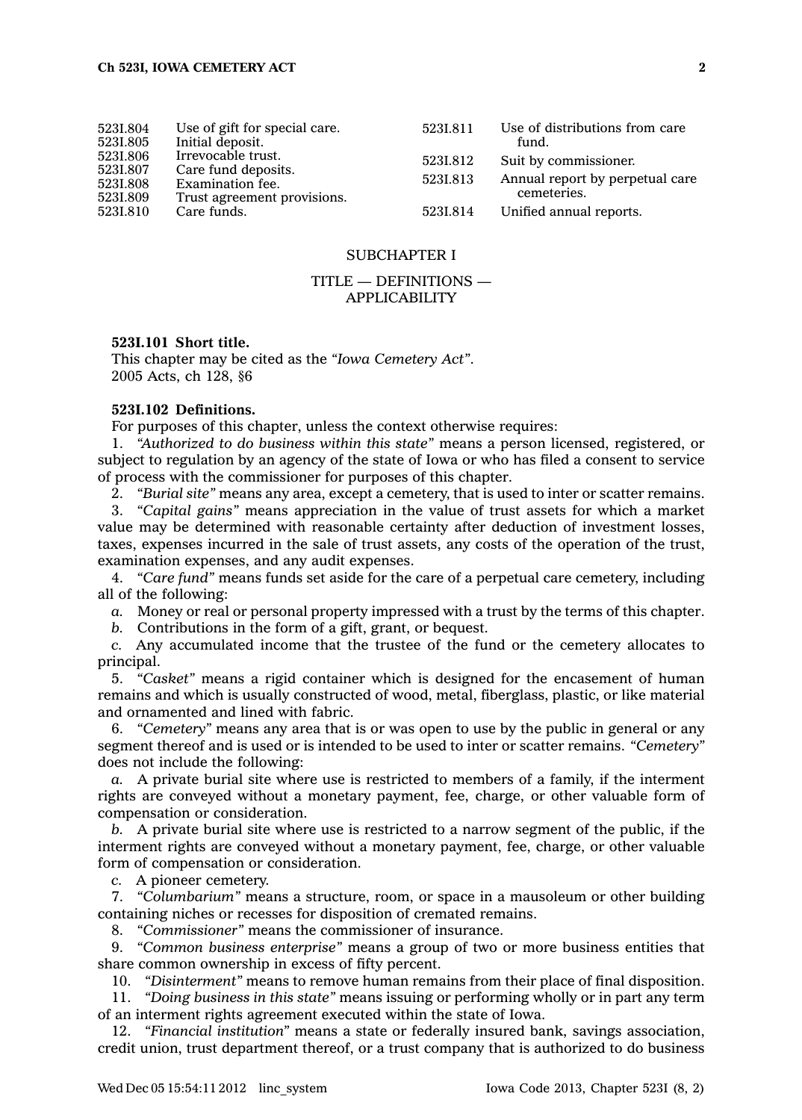| 523I.804<br>5231.805<br>5231.806<br>5231.807<br>5231.808<br>5231.809 | Use of gift for special care.<br>Initial deposit.<br>Irrevocable trust.<br>Care fund deposits.<br>Examination fee.<br>Trust agreement provisions. | 5231.811<br>5231.812<br>5231.813 | Use of distributions from care<br>fund.<br>Suit by commissioner.<br>Annual report by perpetual care<br>cemeteries. |
|----------------------------------------------------------------------|---------------------------------------------------------------------------------------------------------------------------------------------------|----------------------------------|--------------------------------------------------------------------------------------------------------------------|
| 5231.810                                                             | Care funds.                                                                                                                                       | 5231.814                         | Unified annual reports.                                                                                            |

## SUBCHAPTER I

## TITLE — DEFINITIONS — APPLICABILITY

## **523I.101 Short title.**

This chapter may be cited as the *"Iowa Cemetery Act"*. 2005 Acts, ch 128, §6

#### **523I.102 Definitions.**

For purposes of this chapter, unless the context otherwise requires:

1. *"Authorized to do business within this state"* means <sup>a</sup> person licensed, registered, or subject to regulation by an agency of the state of Iowa or who has filed <sup>a</sup> consent to service of process with the commissioner for purposes of this chapter.

2. *"Burial site"* means any area, except <sup>a</sup> cemetery, that is used to inter or scatter remains.

3. *"Capital gains"* means appreciation in the value of trust assets for which <sup>a</sup> market value may be determined with reasonable certainty after deduction of investment losses, taxes, expenses incurred in the sale of trust assets, any costs of the operation of the trust, examination expenses, and any audit expenses.

4. *"Care fund"* means funds set aside for the care of <sup>a</sup> perpetual care cemetery, including all of the following:

*a.* Money or real or personal property impressed with <sup>a</sup> trust by the terms of this chapter.

*b.* Contributions in the form of <sup>a</sup> gift, grant, or bequest.

*c.* Any accumulated income that the trustee of the fund or the cemetery allocates to principal.

5. *"Casket"* means <sup>a</sup> rigid container which is designed for the encasement of human remains and which is usually constructed of wood, metal, fiberglass, plastic, or like material and ornamented and lined with fabric.

6. *"Cemetery"* means any area that is or was open to use by the public in general or any segment thereof and is used or is intended to be used to inter or scatter remains. *"Cemetery"* does not include the following:

*a.* A private burial site where use is restricted to members of <sup>a</sup> family, if the interment rights are conveyed without <sup>a</sup> monetary payment, fee, charge, or other valuable form of compensation or consideration.

*b.* A private burial site where use is restricted to <sup>a</sup> narrow segment of the public, if the interment rights are conveyed without <sup>a</sup> monetary payment, fee, charge, or other valuable form of compensation or consideration.

*c.* A pioneer cemetery.

7. *"Columbarium"* means <sup>a</sup> structure, room, or space in <sup>a</sup> mausoleum or other building containing niches or recesses for disposition of cremated remains.

8. *"Commissioner"* means the commissioner of insurance.

9. *"Common business enterprise"* means <sup>a</sup> group of two or more business entities that share common ownership in excess of fifty percent.

10. *"Disinterment"* means to remove human remains from their place of final disposition.

11. *"Doing business in this state"* means issuing or performing wholly or in part any term of an interment rights agreement executed within the state of Iowa.

12. *"Financial institution"* means <sup>a</sup> state or federally insured bank, savings association, credit union, trust department thereof, or <sup>a</sup> trust company that is authorized to do business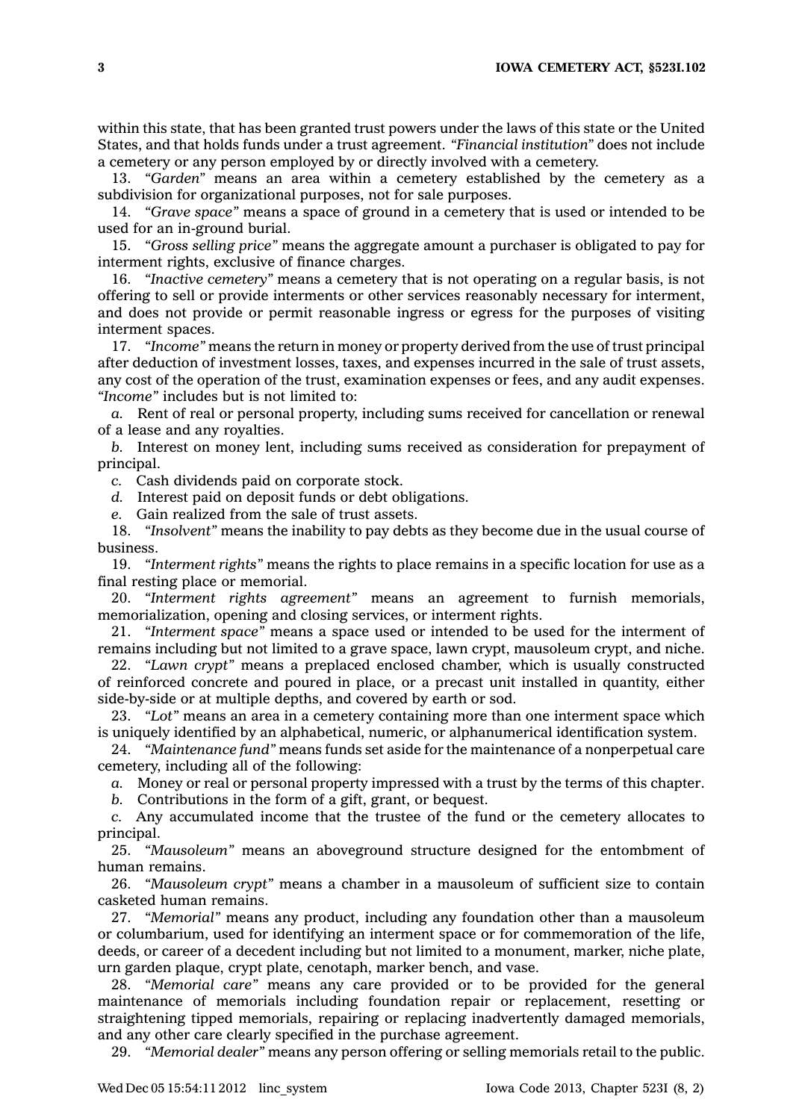**3 IOWA CEMETERY ACT, §523I.102**

within this state, that has been granted trust powers under the laws of this state or the United States, and that holds funds under <sup>a</sup> trust agreement. *"Financial institution"* does not include <sup>a</sup> cemetery or any person employed by or directly involved with <sup>a</sup> cemetery.

13. *"Garden"* means an area within <sup>a</sup> cemetery established by the cemetery as <sup>a</sup> subdivision for organizational purposes, not for sale purposes.

14. *"Grave space"* means <sup>a</sup> space of ground in <sup>a</sup> cemetery that is used or intended to be used for an in-ground burial.

15. *"Gross selling price"* means the aggregate amount <sup>a</sup> purchaser is obligated to pay for interment rights, exclusive of finance charges.

16. *"Inactive cemetery"* means <sup>a</sup> cemetery that is not operating on <sup>a</sup> regular basis, is not offering to sell or provide interments or other services reasonably necessary for interment, and does not provide or permit reasonable ingress or egress for the purposes of visiting interment spaces.

17. *"Income"* means the return in money or property derived from the use of trust principal after deduction of investment losses, taxes, and expenses incurred in the sale of trust assets, any cost of the operation of the trust, examination expenses or fees, and any audit expenses. *"Income"* includes but is not limited to:

*a.* Rent of real or personal property, including sums received for cancellation or renewal of <sup>a</sup> lease and any royalties.

*b.* Interest on money lent, including sums received as consideration for prepayment of principal.

*c.* Cash dividends paid on corporate stock.

*d.* Interest paid on deposit funds or debt obligations.

*e.* Gain realized from the sale of trust assets.

18. *"Insolvent"* means the inability to pay debts as they become due in the usual course of business.

19. *"Interment rights"* means the rights to place remains in <sup>a</sup> specific location for use as <sup>a</sup> final resting place or memorial.

20. *"Interment rights agreement"* means an agreement to furnish memorials, memorialization, opening and closing services, or interment rights.

21. *"Interment space"* means <sup>a</sup> space used or intended to be used for the interment of remains including but not limited to <sup>a</sup> grave space, lawn crypt, mausoleum crypt, and niche.

22. *"Lawn crypt"* means <sup>a</sup> preplaced enclosed chamber, which is usually constructed of reinforced concrete and poured in place, or <sup>a</sup> precast unit installed in quantity, either side-by-side or at multiple depths, and covered by earth or sod.

23. *"Lot"* means an area in <sup>a</sup> cemetery containing more than one interment space which is uniquely identified by an alphabetical, numeric, or alphanumerical identification system.

24. *"Maintenance fund"* means funds set aside for the maintenance of <sup>a</sup> nonperpetual care cemetery, including all of the following:

*a.* Money or real or personal property impressed with <sup>a</sup> trust by the terms of this chapter.

*b.* Contributions in the form of <sup>a</sup> gift, grant, or bequest.

*c.* Any accumulated income that the trustee of the fund or the cemetery allocates to principal.

25. *"Mausoleum"* means an aboveground structure designed for the entombment of human remains.

26. *"Mausoleum crypt"* means <sup>a</sup> chamber in <sup>a</sup> mausoleum of sufficient size to contain casketed human remains.

27. *"Memorial"* means any product, including any foundation other than <sup>a</sup> mausoleum or columbarium, used for identifying an interment space or for commemoration of the life, deeds, or career of <sup>a</sup> decedent including but not limited to <sup>a</sup> monument, marker, niche plate, urn garden plaque, crypt plate, cenotaph, marker bench, and vase.

28. *"Memorial care"* means any care provided or to be provided for the general maintenance of memorials including foundation repair or replacement, resetting or straightening tipped memorials, repairing or replacing inadvertently damaged memorials, and any other care clearly specified in the purchase agreement.

29. *"Memorial dealer"* means any person offering or selling memorials retail to the public.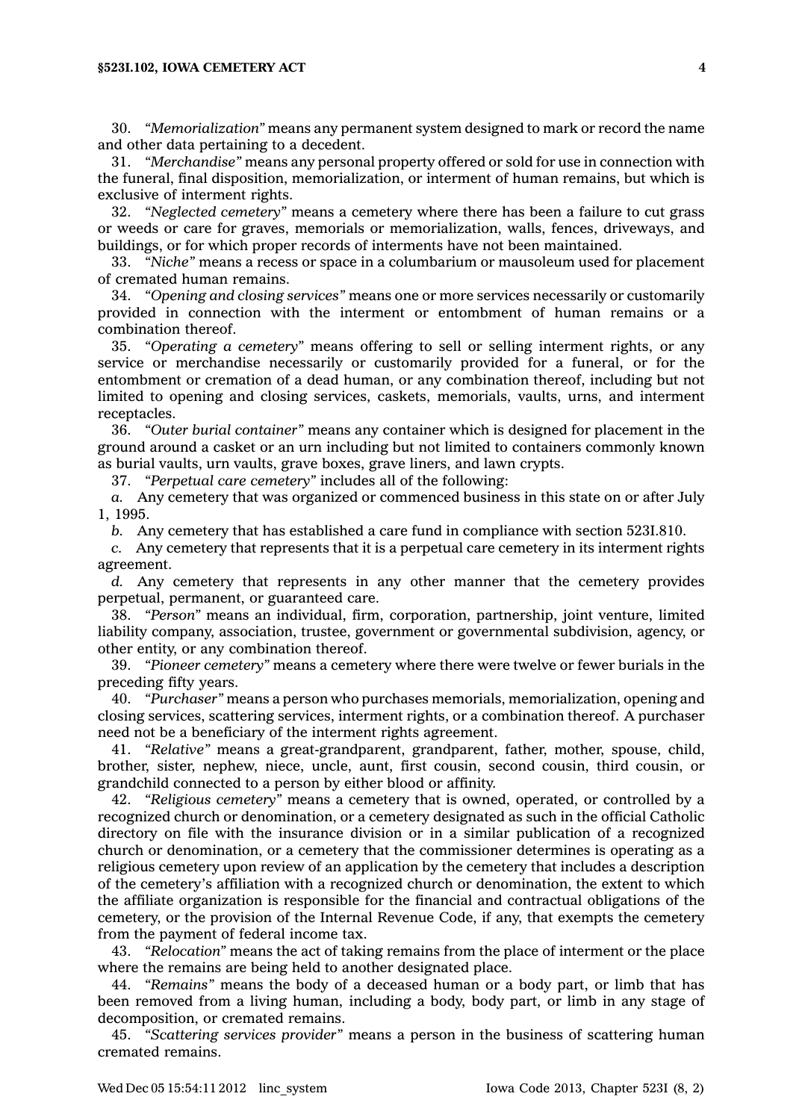30. *"Memorialization"* means any permanent system designed to mark or record the name and other data pertaining to <sup>a</sup> decedent.

31. *"Merchandise"* means any personal property offered or sold for use in connection with the funeral, final disposition, memorialization, or interment of human remains, but which is exclusive of interment rights.

32. *"Neglected cemetery"* means <sup>a</sup> cemetery where there has been <sup>a</sup> failure to cut grass or weeds or care for graves, memorials or memorialization, walls, fences, driveways, and buildings, or for which proper records of interments have not been maintained.

33. *"Niche"* means <sup>a</sup> recess or space in <sup>a</sup> columbarium or mausoleum used for placement of cremated human remains.

34. *"Opening and closing services"* means one or more services necessarily or customarily provided in connection with the interment or entombment of human remains or <sup>a</sup> combination thereof.

35. *"Operating <sup>a</sup> cemetery"* means offering to sell or selling interment rights, or any service or merchandise necessarily or customarily provided for <sup>a</sup> funeral, or for the entombment or cremation of <sup>a</sup> dead human, or any combination thereof, including but not limited to opening and closing services, caskets, memorials, vaults, urns, and interment receptacles.

36. *"Outer burial container"* means any container which is designed for placement in the ground around <sup>a</sup> casket or an urn including but not limited to containers commonly known as burial vaults, urn vaults, grave boxes, grave liners, and lawn crypts.

37. *"Perpetual care cemetery"* includes all of the following:

*a.* Any cemetery that was organized or commenced business in this state on or after July 1, 1995.

*b.* Any cemetery that has established <sup>a</sup> care fund in compliance with section 523I.810.

*c.* Any cemetery that represents that it is <sup>a</sup> perpetual care cemetery in its interment rights agreement.

*d.* Any cemetery that represents in any other manner that the cemetery provides perpetual, permanent, or guaranteed care.

38. *"Person"* means an individual, firm, corporation, partnership, joint venture, limited liability company, association, trustee, government or governmental subdivision, agency, or other entity, or any combination thereof.

39. *"Pioneer cemetery"* means <sup>a</sup> cemetery where there were twelve or fewer burials in the preceding fifty years.

40. *"Purchaser"* means <sup>a</sup> person who purchases memorials, memorialization, opening and closing services, scattering services, interment rights, or <sup>a</sup> combination thereof. A purchaser need not be <sup>a</sup> beneficiary of the interment rights agreement.

41. *"Relative"* means <sup>a</sup> great-grandparent, grandparent, father, mother, spouse, child, brother, sister, nephew, niece, uncle, aunt, first cousin, second cousin, third cousin, or grandchild connected to <sup>a</sup> person by either blood or affinity.

42. *"Religious cemetery"* means <sup>a</sup> cemetery that is owned, operated, or controlled by <sup>a</sup> recognized church or denomination, or <sup>a</sup> cemetery designated as such in the official Catholic directory on file with the insurance division or in <sup>a</sup> similar publication of <sup>a</sup> recognized church or denomination, or <sup>a</sup> cemetery that the commissioner determines is operating as <sup>a</sup> religious cemetery upon review of an application by the cemetery that includes <sup>a</sup> description of the cemetery's affiliation with <sup>a</sup> recognized church or denomination, the extent to which the affiliate organization is responsible for the financial and contractual obligations of the cemetery, or the provision of the Internal Revenue Code, if any, that exempts the cemetery from the payment of federal income tax.

43. *"Relocation"* means the act of taking remains from the place of interment or the place where the remains are being held to another designated place.

44. *"Remains"* means the body of <sup>a</sup> deceased human or <sup>a</sup> body part, or limb that has been removed from <sup>a</sup> living human, including <sup>a</sup> body, body part, or limb in any stage of decomposition, or cremated remains.

45. *"Scattering services provider"* means <sup>a</sup> person in the business of scattering human cremated remains.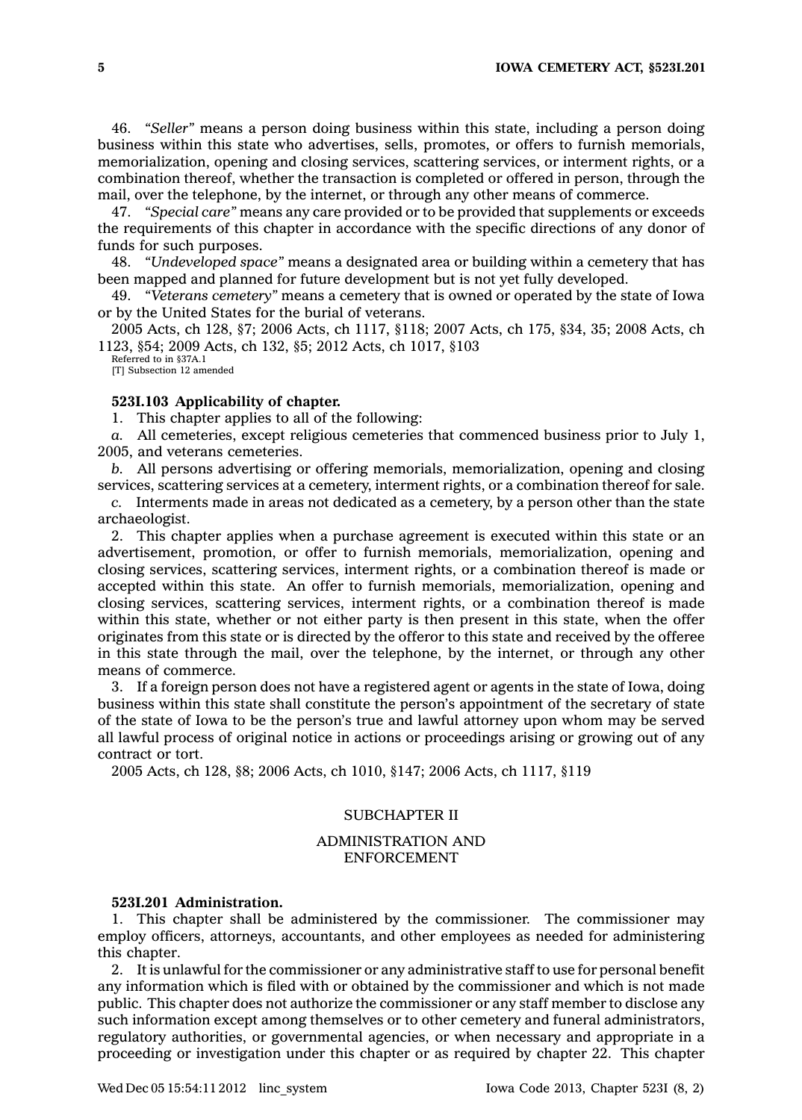46. *"Seller"* means <sup>a</sup> person doing business within this state, including <sup>a</sup> person doing business within this state who advertises, sells, promotes, or offers to furnish memorials, memorialization, opening and closing services, scattering services, or interment rights, or <sup>a</sup> combination thereof, whether the transaction is completed or offered in person, through the mail, over the telephone, by the internet, or through any other means of commerce.

47. *"Special care"* means any care provided or to be provided that supplements or exceeds the requirements of this chapter in accordance with the specific directions of any donor of funds for such purposes.

48. *"Undeveloped space"* means <sup>a</sup> designated area or building within <sup>a</sup> cemetery that has been mapped and planned for future development but is not yet fully developed.

49. *"Veterans cemetery"* means <sup>a</sup> cemetery that is owned or operated by the state of Iowa or by the United States for the burial of veterans.

2005 Acts, ch 128, §7; 2006 Acts, ch 1117, §118; 2007 Acts, ch 175, §34, 35; 2008 Acts, ch 1123, §54; 2009 Acts, ch 132, §5; 2012 Acts, ch 1017, §103

Referred to in §37A.1 [T] Subsection 12 amended

## **523I.103 Applicability of chapter.**

1. This chapter applies to all of the following:

*a.* All cemeteries, except religious cemeteries that commenced business prior to July 1, 2005, and veterans cemeteries.

*b.* All persons advertising or offering memorials, memorialization, opening and closing services, scattering services at <sup>a</sup> cemetery, interment rights, or <sup>a</sup> combination thereof for sale.

*c.* Interments made in areas not dedicated as <sup>a</sup> cemetery, by <sup>a</sup> person other than the state archaeologist.

2. This chapter applies when <sup>a</sup> purchase agreement is executed within this state or an advertisement, promotion, or offer to furnish memorials, memorialization, opening and closing services, scattering services, interment rights, or <sup>a</sup> combination thereof is made or accepted within this state. An offer to furnish memorials, memorialization, opening and closing services, scattering services, interment rights, or <sup>a</sup> combination thereof is made within this state, whether or not either party is then present in this state, when the offer originates from this state or is directed by the offeror to this state and received by the offeree in this state through the mail, over the telephone, by the internet, or through any other means of commerce.

3. If <sup>a</sup> foreign person does not have <sup>a</sup> registered agent or agents in the state of Iowa, doing business within this state shall constitute the person's appointment of the secretary of state of the state of Iowa to be the person's true and lawful attorney upon whom may be served all lawful process of original notice in actions or proceedings arising or growing out of any contract or tort.

2005 Acts, ch 128, §8; 2006 Acts, ch 1010, §147; 2006 Acts, ch 1117, §119

## SUBCHAPTER II

## ADMINISTRATION AND ENFORCEMENT

### **523I.201 Administration.**

1. This chapter shall be administered by the commissioner. The commissioner may employ officers, attorneys, accountants, and other employees as needed for administering this chapter.

2. It is unlawful for the commissioner or any administrative staff to use for personal benefit any information which is filed with or obtained by the commissioner and which is not made public. This chapter does not authorize the commissioner or any staff member to disclose any such information except among themselves or to other cemetery and funeral administrators, regulatory authorities, or governmental agencies, or when necessary and appropriate in <sup>a</sup> proceeding or investigation under this chapter or as required by chapter 22. This chapter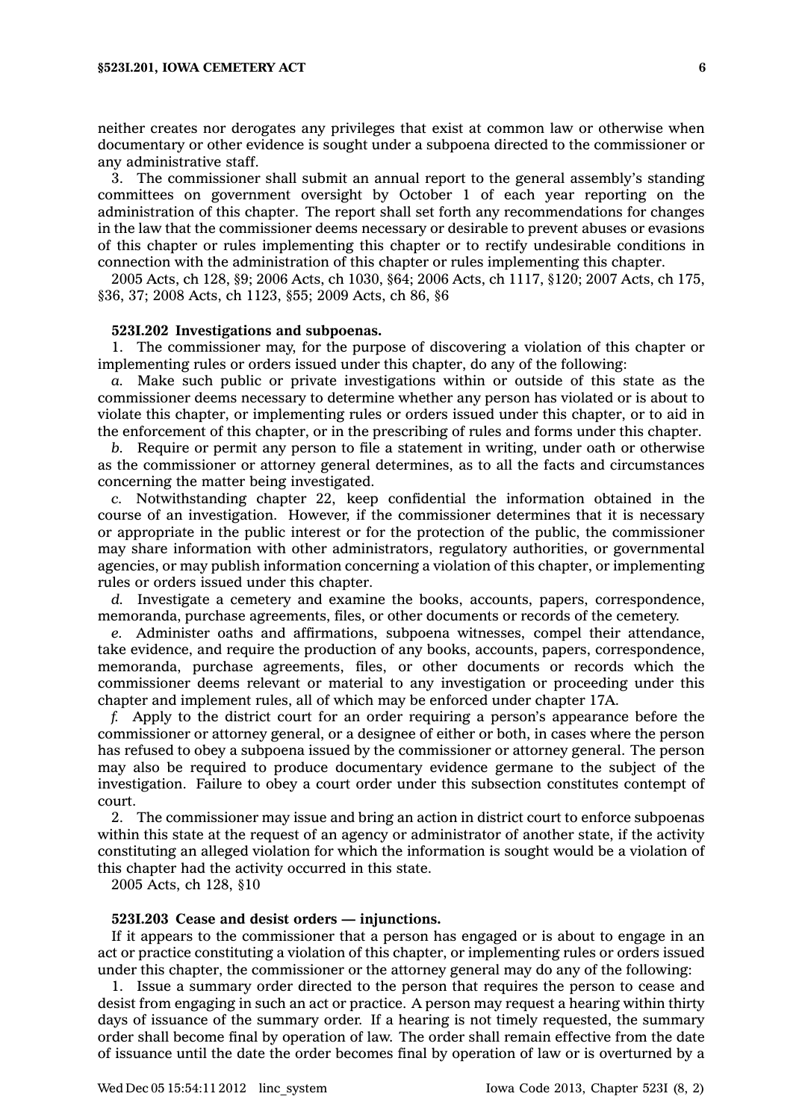neither creates nor derogates any privileges that exist at common law or otherwise when documentary or other evidence is sought under <sup>a</sup> subpoena directed to the commissioner or any administrative staff.

3. The commissioner shall submit an annual report to the general assembly's standing committees on government oversight by October 1 of each year reporting on the administration of this chapter. The report shall set forth any recommendations for changes in the law that the commissioner deems necessary or desirable to prevent abuses or evasions of this chapter or rules implementing this chapter or to rectify undesirable conditions in connection with the administration of this chapter or rules implementing this chapter.

2005 Acts, ch 128, §9; 2006 Acts, ch 1030, §64; 2006 Acts, ch 1117, §120; 2007 Acts, ch 175, §36, 37; 2008 Acts, ch 1123, §55; 2009 Acts, ch 86, §6

#### **523I.202 Investigations and subpoenas.**

1. The commissioner may, for the purpose of discovering <sup>a</sup> violation of this chapter or implementing rules or orders issued under this chapter, do any of the following:

*a.* Make such public or private investigations within or outside of this state as the commissioner deems necessary to determine whether any person has violated or is about to violate this chapter, or implementing rules or orders issued under this chapter, or to aid in the enforcement of this chapter, or in the prescribing of rules and forms under this chapter.

*b.* Require or permit any person to file <sup>a</sup> statement in writing, under oath or otherwise as the commissioner or attorney general determines, as to all the facts and circumstances concerning the matter being investigated.

*c.* Notwithstanding chapter 22, keep confidential the information obtained in the course of an investigation. However, if the commissioner determines that it is necessary or appropriate in the public interest or for the protection of the public, the commissioner may share information with other administrators, regulatory authorities, or governmental agencies, or may publish information concerning <sup>a</sup> violation of this chapter, or implementing rules or orders issued under this chapter.

*d.* Investigate <sup>a</sup> cemetery and examine the books, accounts, papers, correspondence, memoranda, purchase agreements, files, or other documents or records of the cemetery.

*e.* Administer oaths and affirmations, subpoena witnesses, compel their attendance, take evidence, and require the production of any books, accounts, papers, correspondence, memoranda, purchase agreements, files, or other documents or records which the commissioner deems relevant or material to any investigation or proceeding under this chapter and implement rules, all of which may be enforced under chapter 17A.

*f.* Apply to the district court for an order requiring <sup>a</sup> person's appearance before the commissioner or attorney general, or <sup>a</sup> designee of either or both, in cases where the person has refused to obey <sup>a</sup> subpoena issued by the commissioner or attorney general. The person may also be required to produce documentary evidence germane to the subject of the investigation. Failure to obey <sup>a</sup> court order under this subsection constitutes contempt of court.

2. The commissioner may issue and bring an action in district court to enforce subpoenas within this state at the request of an agency or administrator of another state, if the activity constituting an alleged violation for which the information is sought would be <sup>a</sup> violation of this chapter had the activity occurred in this state.

2005 Acts, ch 128, §10

## **523I.203 Cease and desist orders — injunctions.**

If it appears to the commissioner that <sup>a</sup> person has engaged or is about to engage in an act or practice constituting <sup>a</sup> violation of this chapter, or implementing rules or orders issued under this chapter, the commissioner or the attorney general may do any of the following:

1. Issue <sup>a</sup> summary order directed to the person that requires the person to cease and desist from engaging in such an act or practice. A person may request <sup>a</sup> hearing within thirty days of issuance of the summary order. If <sup>a</sup> hearing is not timely requested, the summary order shall become final by operation of law. The order shall remain effective from the date of issuance until the date the order becomes final by operation of law or is overturned by <sup>a</sup>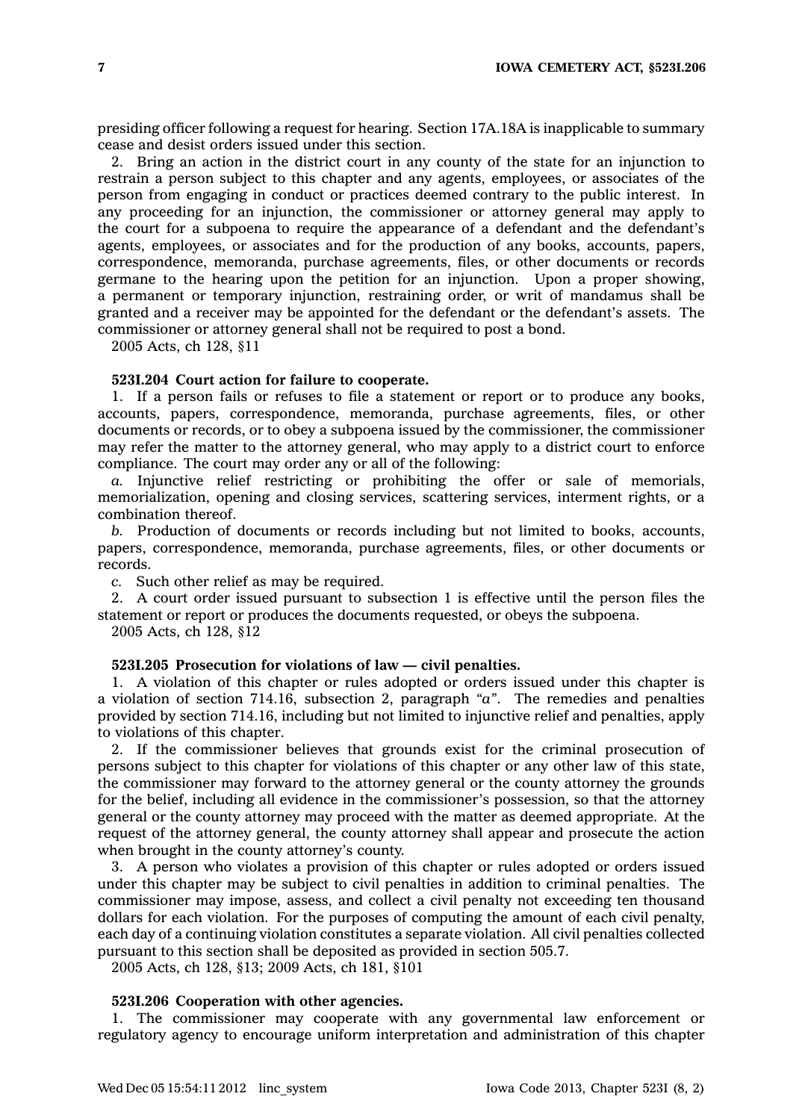presiding officer following <sup>a</sup> request for hearing. Section 17A.18A is inapplicable to summary cease and desist orders issued under this section.

2. Bring an action in the district court in any county of the state for an injunction to restrain <sup>a</sup> person subject to this chapter and any agents, employees, or associates of the person from engaging in conduct or practices deemed contrary to the public interest. In any proceeding for an injunction, the commissioner or attorney general may apply to the court for <sup>a</sup> subpoena to require the appearance of <sup>a</sup> defendant and the defendant's agents, employees, or associates and for the production of any books, accounts, papers, correspondence, memoranda, purchase agreements, files, or other documents or records germane to the hearing upon the petition for an injunction. Upon <sup>a</sup> proper showing, <sup>a</sup> permanent or temporary injunction, restraining order, or writ of mandamus shall be granted and <sup>a</sup> receiver may be appointed for the defendant or the defendant's assets. The commissioner or attorney general shall not be required to post <sup>a</sup> bond.

2005 Acts, ch 128, §11

#### **523I.204 Court action for failure to cooperate.**

1. If <sup>a</sup> person fails or refuses to file <sup>a</sup> statement or report or to produce any books, accounts, papers, correspondence, memoranda, purchase agreements, files, or other documents or records, or to obey <sup>a</sup> subpoena issued by the commissioner, the commissioner may refer the matter to the attorney general, who may apply to <sup>a</sup> district court to enforce compliance. The court may order any or all of the following:

*a.* Injunctive relief restricting or prohibiting the offer or sale of memorials, memorialization, opening and closing services, scattering services, interment rights, or <sup>a</sup> combination thereof.

*b.* Production of documents or records including but not limited to books, accounts, papers, correspondence, memoranda, purchase agreements, files, or other documents or records.

*c.* Such other relief as may be required.

2. A court order issued pursuant to subsection 1 is effective until the person files the statement or report or produces the documents requested, or obeys the subpoena.

2005 Acts, ch 128, §12

## **523I.205 Prosecution for violations of law — civil penalties.**

1. A violation of this chapter or rules adopted or orders issued under this chapter is <sup>a</sup> violation of section 714.16, subsection 2, paragraph *"a"*. The remedies and penalties provided by section 714.16, including but not limited to injunctive relief and penalties, apply to violations of this chapter.

2. If the commissioner believes that grounds exist for the criminal prosecution of persons subject to this chapter for violations of this chapter or any other law of this state, the commissioner may forward to the attorney general or the county attorney the grounds for the belief, including all evidence in the commissioner's possession, so that the attorney general or the county attorney may proceed with the matter as deemed appropriate. At the request of the attorney general, the county attorney shall appear and prosecute the action when brought in the county attorney's county.

3. A person who violates <sup>a</sup> provision of this chapter or rules adopted or orders issued under this chapter may be subject to civil penalties in addition to criminal penalties. The commissioner may impose, assess, and collect <sup>a</sup> civil penalty not exceeding ten thousand dollars for each violation. For the purposes of computing the amount of each civil penalty, each day of <sup>a</sup> continuing violation constitutes <sup>a</sup> separate violation. All civil penalties collected pursuant to this section shall be deposited as provided in section 505.7.

2005 Acts, ch 128, §13; 2009 Acts, ch 181, §101

### **523I.206 Cooperation with other agencies.**

1. The commissioner may cooperate with any governmental law enforcement or regulatory agency to encourage uniform interpretation and administration of this chapter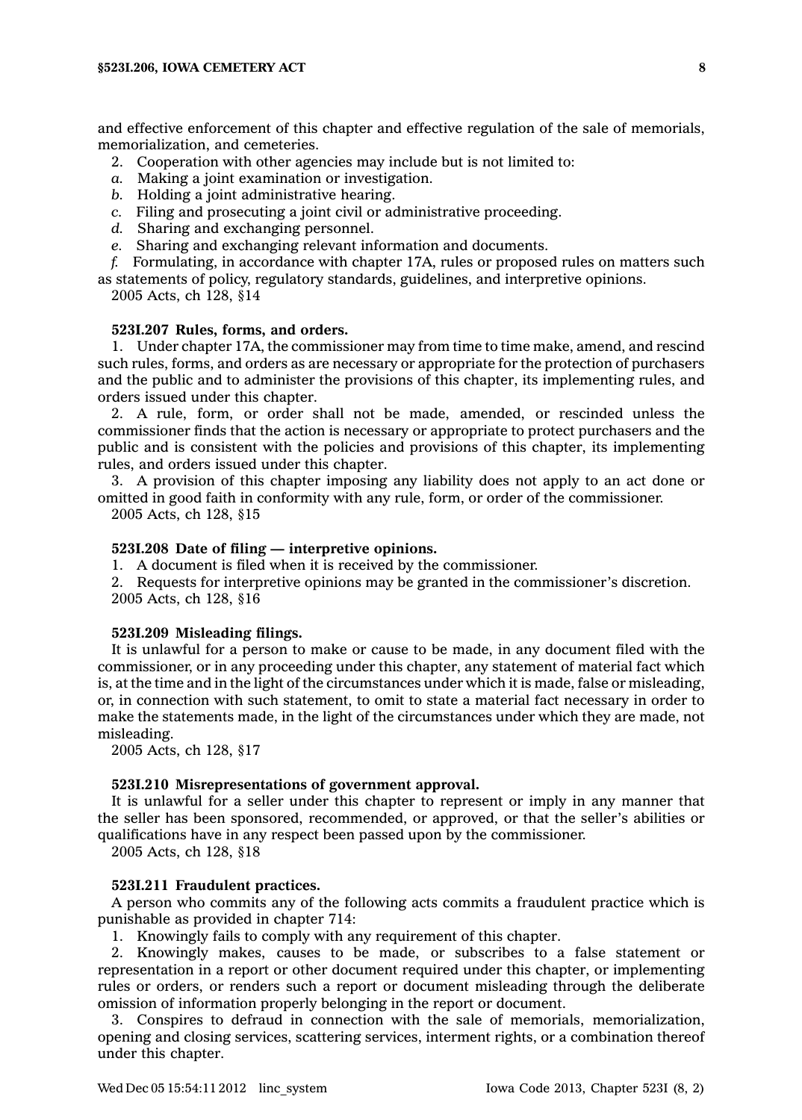and effective enforcement of this chapter and effective regulation of the sale of memorials, memorialization, and cemeteries.

- 2. Cooperation with other agencies may include but is not limited to:
- *a.* Making <sup>a</sup> joint examination or investigation.
- *b.* Holding <sup>a</sup> joint administrative hearing.
- *c.* Filing and prosecuting <sup>a</sup> joint civil or administrative proceeding.
- *d.* Sharing and exchanging personnel.
- *e.* Sharing and exchanging relevant information and documents.
- *f.* Formulating, in accordance with chapter 17A, rules or proposed rules on matters such as statements of policy, regulatory standards, guidelines, and interpretive opinions.
	- 2005 Acts, ch 128, §14

### **523I.207 Rules, forms, and orders.**

1. Under chapter 17A, the commissioner may from time to time make, amend, and rescind such rules, forms, and orders as are necessary or appropriate for the protection of purchasers and the public and to administer the provisions of this chapter, its implementing rules, and orders issued under this chapter.

2. A rule, form, or order shall not be made, amended, or rescinded unless the commissioner finds that the action is necessary or appropriate to protect purchasers and the public and is consistent with the policies and provisions of this chapter, its implementing rules, and orders issued under this chapter.

3. A provision of this chapter imposing any liability does not apply to an act done or omitted in good faith in conformity with any rule, form, or order of the commissioner. 2005 Acts, ch 128, §15

## **523I.208 Date of filing — interpretive opinions.**

1. A document is filed when it is received by the commissioner.

2. Requests for interpretive opinions may be granted in the commissioner's discretion. 2005 Acts, ch 128, §16

## **523I.209 Misleading filings.**

It is unlawful for <sup>a</sup> person to make or cause to be made, in any document filed with the commissioner, or in any proceeding under this chapter, any statement of material fact which is, at the time and in the light of the circumstances under which it is made, false or misleading, or, in connection with such statement, to omit to state <sup>a</sup> material fact necessary in order to make the statements made, in the light of the circumstances under which they are made, not misleading.

2005 Acts, ch 128, §17

## **523I.210 Misrepresentations of government approval.**

It is unlawful for <sup>a</sup> seller under this chapter to represent or imply in any manner that the seller has been sponsored, recommended, or approved, or that the seller's abilities or qualifications have in any respect been passed upon by the commissioner.

2005 Acts, ch 128, §18

## **523I.211 Fraudulent practices.**

A person who commits any of the following acts commits <sup>a</sup> fraudulent practice which is punishable as provided in chapter 714:

1. Knowingly fails to comply with any requirement of this chapter.

2. Knowingly makes, causes to be made, or subscribes to <sup>a</sup> false statement or representation in <sup>a</sup> report or other document required under this chapter, or implementing rules or orders, or renders such <sup>a</sup> report or document misleading through the deliberate omission of information properly belonging in the report or document.

3. Conspires to defraud in connection with the sale of memorials, memorialization, opening and closing services, scattering services, interment rights, or <sup>a</sup> combination thereof under this chapter.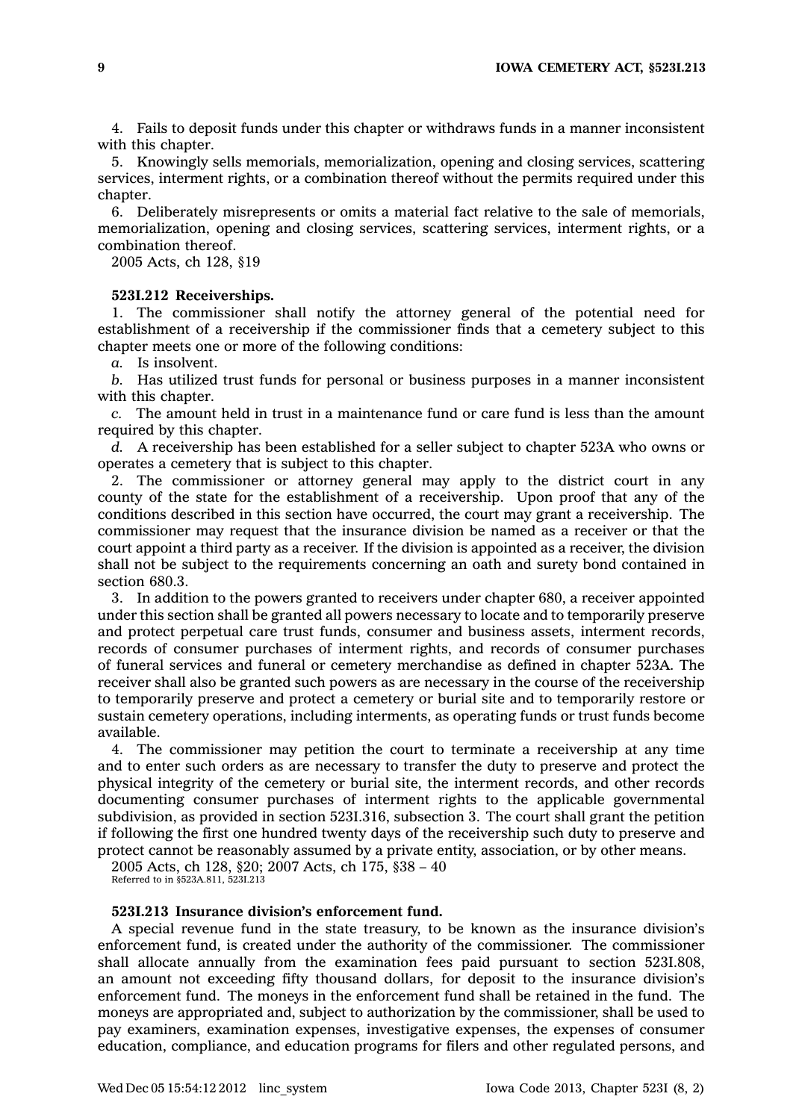4. Fails to deposit funds under this chapter or withdraws funds in <sup>a</sup> manner inconsistent with this chapter.

5. Knowingly sells memorials, memorialization, opening and closing services, scattering services, interment rights, or <sup>a</sup> combination thereof without the permits required under this chapter.

6. Deliberately misrepresents or omits <sup>a</sup> material fact relative to the sale of memorials, memorialization, opening and closing services, scattering services, interment rights, or <sup>a</sup> combination thereof.

2005 Acts, ch 128, §19

#### **523I.212 Receiverships.**

1. The commissioner shall notify the attorney general of the potential need for establishment of <sup>a</sup> receivership if the commissioner finds that <sup>a</sup> cemetery subject to this chapter meets one or more of the following conditions:

*a.* Is insolvent.

*b.* Has utilized trust funds for personal or business purposes in <sup>a</sup> manner inconsistent with this chapter.

*c.* The amount held in trust in <sup>a</sup> maintenance fund or care fund is less than the amount required by this chapter.

*d.* A receivership has been established for <sup>a</sup> seller subject to chapter 523A who owns or operates <sup>a</sup> cemetery that is subject to this chapter.

2. The commissioner or attorney general may apply to the district court in any county of the state for the establishment of <sup>a</sup> receivership. Upon proof that any of the conditions described in this section have occurred, the court may grant <sup>a</sup> receivership. The commissioner may request that the insurance division be named as <sup>a</sup> receiver or that the court appoint <sup>a</sup> third party as <sup>a</sup> receiver. If the division is appointed as <sup>a</sup> receiver, the division shall not be subject to the requirements concerning an oath and surety bond contained in section 680.3.

3. In addition to the powers granted to receivers under chapter 680, <sup>a</sup> receiver appointed under this section shall be granted all powers necessary to locate and to temporarily preserve and protect perpetual care trust funds, consumer and business assets, interment records, records of consumer purchases of interment rights, and records of consumer purchases of funeral services and funeral or cemetery merchandise as defined in chapter 523A. The receiver shall also be granted such powers as are necessary in the course of the receivership to temporarily preserve and protect <sup>a</sup> cemetery or burial site and to temporarily restore or sustain cemetery operations, including interments, as operating funds or trust funds become available.

4. The commissioner may petition the court to terminate <sup>a</sup> receivership at any time and to enter such orders as are necessary to transfer the duty to preserve and protect the physical integrity of the cemetery or burial site, the interment records, and other records documenting consumer purchases of interment rights to the applicable governmental subdivision, as provided in section 523I.316, subsection 3. The court shall grant the petition if following the first one hundred twenty days of the receivership such duty to preserve and protect cannot be reasonably assumed by <sup>a</sup> private entity, association, or by other means.

2005 Acts, ch 128, §20; 2007 Acts, ch 175, §38 – 40 Referred to in §523A.811, 523I.213

### **523I.213 Insurance division's enforcement fund.**

A special revenue fund in the state treasury, to be known as the insurance division's enforcement fund, is created under the authority of the commissioner. The commissioner shall allocate annually from the examination fees paid pursuant to section 523I.808, an amount not exceeding fifty thousand dollars, for deposit to the insurance division's enforcement fund. The moneys in the enforcement fund shall be retained in the fund. The moneys are appropriated and, subject to authorization by the commissioner, shall be used to pay examiners, examination expenses, investigative expenses, the expenses of consumer education, compliance, and education programs for filers and other regulated persons, and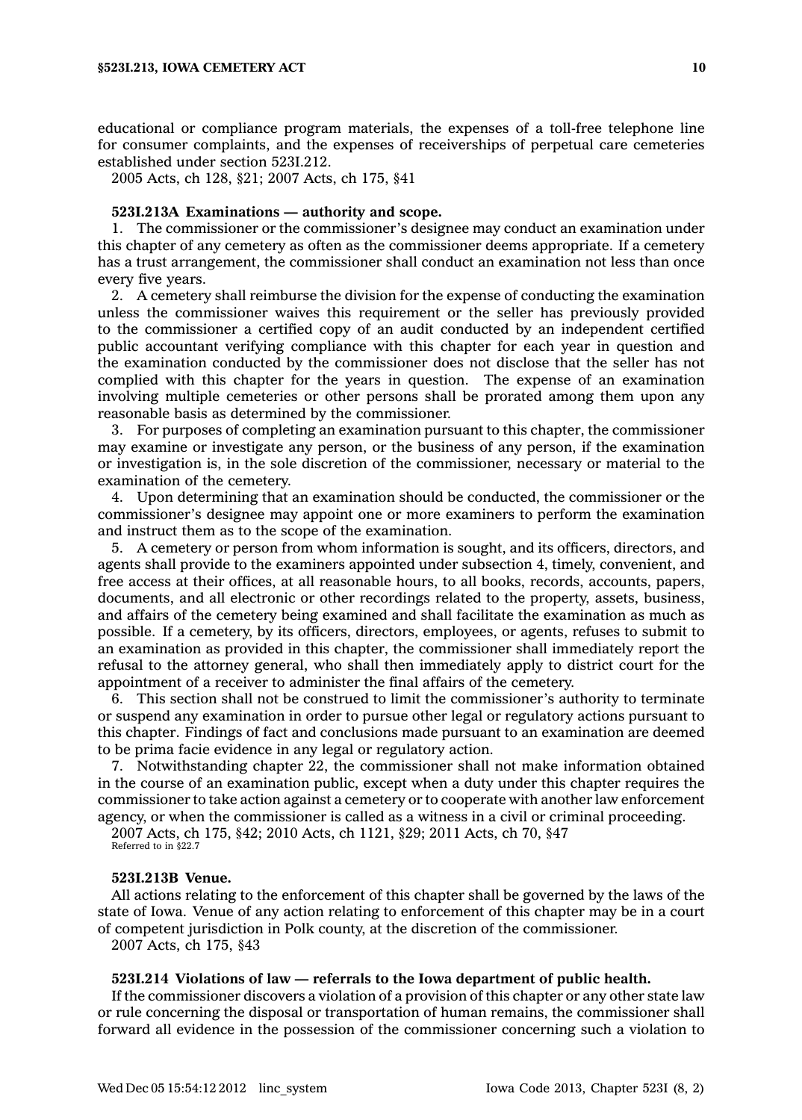educational or compliance program materials, the expenses of <sup>a</sup> toll-free telephone line for consumer complaints, and the expenses of receiverships of perpetual care cemeteries established under section 523I.212.

2005 Acts, ch 128, §21; 2007 Acts, ch 175, §41

### **523I.213A Examinations — authority and scope.**

1. The commissioner or the commissioner's designee may conduct an examination under this chapter of any cemetery as often as the commissioner deems appropriate. If <sup>a</sup> cemetery has <sup>a</sup> trust arrangement, the commissioner shall conduct an examination not less than once every five years.

2. A cemetery shall reimburse the division for the expense of conducting the examination unless the commissioner waives this requirement or the seller has previously provided to the commissioner <sup>a</sup> certified copy of an audit conducted by an independent certified public accountant verifying compliance with this chapter for each year in question and the examination conducted by the commissioner does not disclose that the seller has not complied with this chapter for the years in question. The expense of an examination involving multiple cemeteries or other persons shall be prorated among them upon any reasonable basis as determined by the commissioner.

3. For purposes of completing an examination pursuant to this chapter, the commissioner may examine or investigate any person, or the business of any person, if the examination or investigation is, in the sole discretion of the commissioner, necessary or material to the examination of the cemetery.

4. Upon determining that an examination should be conducted, the commissioner or the commissioner's designee may appoint one or more examiners to perform the examination and instruct them as to the scope of the examination.

5. A cemetery or person from whom information is sought, and its officers, directors, and agents shall provide to the examiners appointed under subsection 4, timely, convenient, and free access at their offices, at all reasonable hours, to all books, records, accounts, papers, documents, and all electronic or other recordings related to the property, assets, business, and affairs of the cemetery being examined and shall facilitate the examination as much as possible. If <sup>a</sup> cemetery, by its officers, directors, employees, or agents, refuses to submit to an examination as provided in this chapter, the commissioner shall immediately report the refusal to the attorney general, who shall then immediately apply to district court for the appointment of <sup>a</sup> receiver to administer the final affairs of the cemetery.

6. This section shall not be construed to limit the commissioner's authority to terminate or suspend any examination in order to pursue other legal or regulatory actions pursuant to this chapter. Findings of fact and conclusions made pursuant to an examination are deemed to be prima facie evidence in any legal or regulatory action.

7. Notwithstanding chapter 22, the commissioner shall not make information obtained in the course of an examination public, except when <sup>a</sup> duty under this chapter requires the commissioner to take action against <sup>a</sup> cemetery or to cooperate with another law enforcement agency, or when the commissioner is called as <sup>a</sup> witness in <sup>a</sup> civil or criminal proceeding.

2007 Acts, ch 175, §42; 2010 Acts, ch 1121, §29; 2011 Acts, ch 70, §47

Referred to in §22.7

### **523I.213B Venue.**

All actions relating to the enforcement of this chapter shall be governed by the laws of the state of Iowa. Venue of any action relating to enforcement of this chapter may be in <sup>a</sup> court of competent jurisdiction in Polk county, at the discretion of the commissioner.

2007 Acts, ch 175, §43

## **523I.214 Violations of law — referrals to the Iowa department of public health.**

If the commissioner discovers <sup>a</sup> violation of <sup>a</sup> provision of this chapter or any other state law or rule concerning the disposal or transportation of human remains, the commissioner shall forward all evidence in the possession of the commissioner concerning such <sup>a</sup> violation to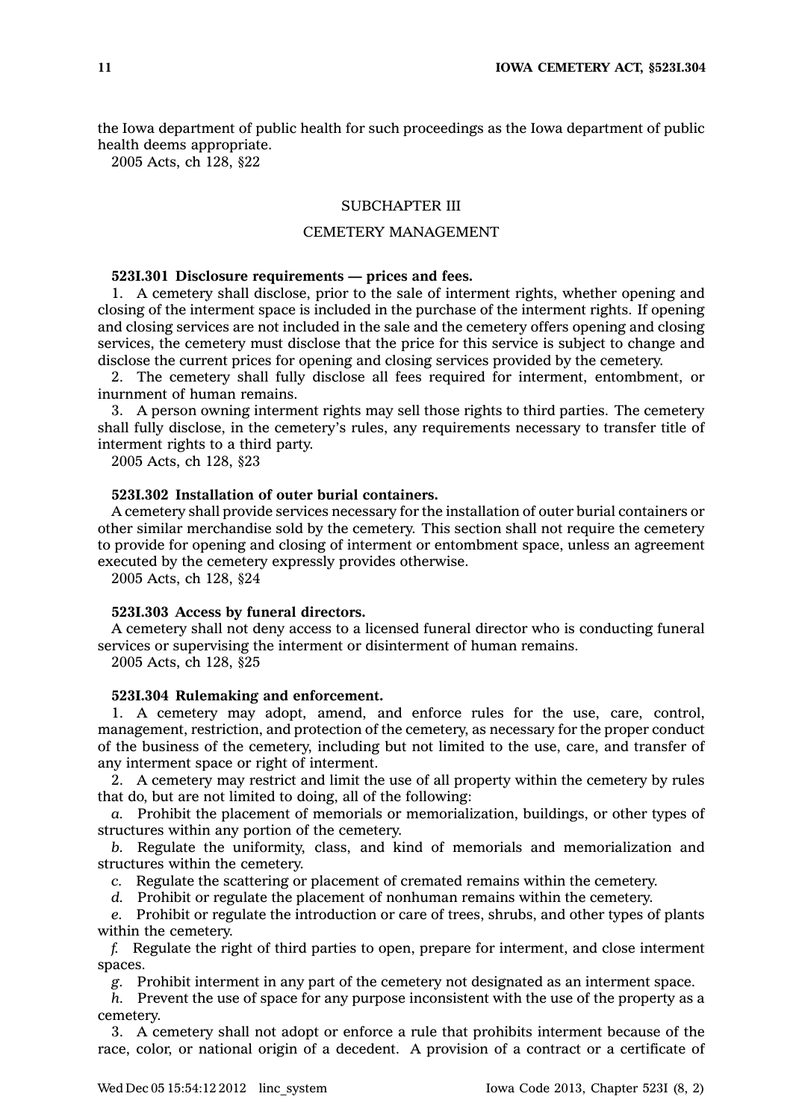the Iowa department of public health for such proceedings as the Iowa department of public health deems appropriate.

2005 Acts, ch 128, §22

## SUBCHAPTER III

## CEMETERY MANAGEMENT

### **523I.301 Disclosure requirements — prices and fees.**

1. A cemetery shall disclose, prior to the sale of interment rights, whether opening and closing of the interment space is included in the purchase of the interment rights. If opening and closing services are not included in the sale and the cemetery offers opening and closing services, the cemetery must disclose that the price for this service is subject to change and disclose the current prices for opening and closing services provided by the cemetery.

2. The cemetery shall fully disclose all fees required for interment, entombment, or inurnment of human remains.

3. A person owning interment rights may sell those rights to third parties. The cemetery shall fully disclose, in the cemetery's rules, any requirements necessary to transfer title of interment rights to <sup>a</sup> third party.

2005 Acts, ch 128, §23

## **523I.302 Installation of outer burial containers.**

A cemetery shall provide services necessary for the installation of outer burial containers or other similar merchandise sold by the cemetery. This section shall not require the cemetery to provide for opening and closing of interment or entombment space, unless an agreement executed by the cemetery expressly provides otherwise.

2005 Acts, ch 128, §24

#### **523I.303 Access by funeral directors.**

A cemetery shall not deny access to <sup>a</sup> licensed funeral director who is conducting funeral services or supervising the interment or disinterment of human remains.

2005 Acts, ch 128, §25

## **523I.304 Rulemaking and enforcement.**

1. A cemetery may adopt, amend, and enforce rules for the use, care, control, management, restriction, and protection of the cemetery, as necessary for the proper conduct of the business of the cemetery, including but not limited to the use, care, and transfer of any interment space or right of interment.

2. A cemetery may restrict and limit the use of all property within the cemetery by rules that do, but are not limited to doing, all of the following:

*a.* Prohibit the placement of memorials or memorialization, buildings, or other types of structures within any portion of the cemetery.

*b.* Regulate the uniformity, class, and kind of memorials and memorialization and structures within the cemetery.

*c.* Regulate the scattering or placement of cremated remains within the cemetery.

*d.* Prohibit or regulate the placement of nonhuman remains within the cemetery.

*e.* Prohibit or regulate the introduction or care of trees, shrubs, and other types of plants within the cemetery.

*f.* Regulate the right of third parties to open, prepare for interment, and close interment spaces.

*g.* Prohibit interment in any part of the cemetery not designated as an interment space.

*h.* Prevent the use of space for any purpose inconsistent with the use of the property as <sup>a</sup> cemetery.

3. A cemetery shall not adopt or enforce <sup>a</sup> rule that prohibits interment because of the race, color, or national origin of <sup>a</sup> decedent. A provision of <sup>a</sup> contract or <sup>a</sup> certificate of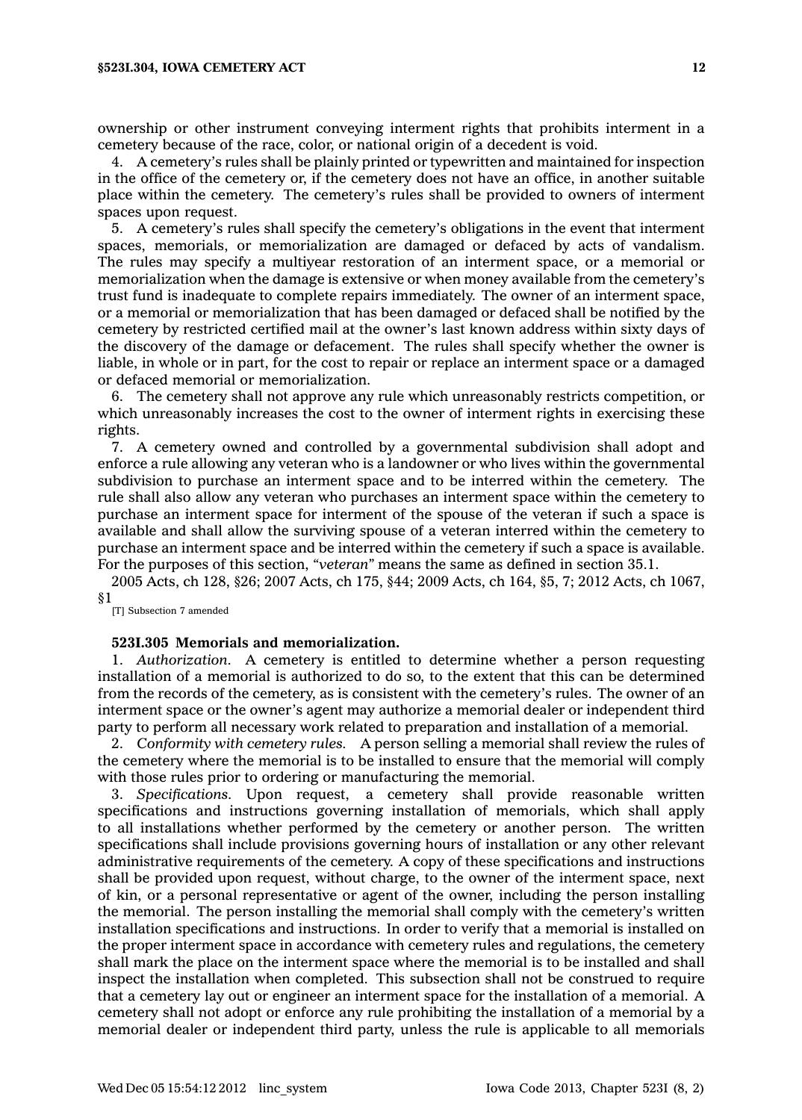ownership or other instrument conveying interment rights that prohibits interment in <sup>a</sup> cemetery because of the race, color, or national origin of <sup>a</sup> decedent is void.

4. A cemetery's rules shall be plainly printed or typewritten and maintained for inspection in the office of the cemetery or, if the cemetery does not have an office, in another suitable place within the cemetery. The cemetery's rules shall be provided to owners of interment spaces upon request.

5. A cemetery's rules shall specify the cemetery's obligations in the event that interment spaces, memorials, or memorialization are damaged or defaced by acts of vandalism. The rules may specify <sup>a</sup> multiyear restoration of an interment space, or <sup>a</sup> memorial or memorialization when the damage is extensive or when money available from the cemetery's trust fund is inadequate to complete repairs immediately. The owner of an interment space, or <sup>a</sup> memorial or memorialization that has been damaged or defaced shall be notified by the cemetery by restricted certified mail at the owner's last known address within sixty days of the discovery of the damage or defacement. The rules shall specify whether the owner is liable, in whole or in part, for the cost to repair or replace an interment space or <sup>a</sup> damaged or defaced memorial or memorialization.

6. The cemetery shall not approve any rule which unreasonably restricts competition, or which unreasonably increases the cost to the owner of interment rights in exercising these rights.

7. A cemetery owned and controlled by <sup>a</sup> governmental subdivision shall adopt and enforce <sup>a</sup> rule allowing any veteran who is <sup>a</sup> landowner or who lives within the governmental subdivision to purchase an interment space and to be interred within the cemetery. The rule shall also allow any veteran who purchases an interment space within the cemetery to purchase an interment space for interment of the spouse of the veteran if such <sup>a</sup> space is available and shall allow the surviving spouse of <sup>a</sup> veteran interred within the cemetery to purchase an interment space and be interred within the cemetery if such <sup>a</sup> space is available. For the purposes of this section, *"veteran"* means the same as defined in section 35.1.

2005 Acts, ch 128, §26; 2007 Acts, ch 175, §44; 2009 Acts, ch 164, §5, 7; 2012 Acts, ch 1067, §1

[T] Subsection 7 amended

## **523I.305 Memorials and memorialization.**

1. *Authorization.* A cemetery is entitled to determine whether <sup>a</sup> person requesting installation of <sup>a</sup> memorial is authorized to do so, to the extent that this can be determined from the records of the cemetery, as is consistent with the cemetery's rules. The owner of an interment space or the owner's agent may authorize <sup>a</sup> memorial dealer or independent third party to perform all necessary work related to preparation and installation of <sup>a</sup> memorial.

2. *Conformity with cemetery rules.* A person selling <sup>a</sup> memorial shall review the rules of the cemetery where the memorial is to be installed to ensure that the memorial will comply with those rules prior to ordering or manufacturing the memorial.

3. *Specifications.* Upon request, <sup>a</sup> cemetery shall provide reasonable written specifications and instructions governing installation of memorials, which shall apply to all installations whether performed by the cemetery or another person. The written specifications shall include provisions governing hours of installation or any other relevant administrative requirements of the cemetery. A copy of these specifications and instructions shall be provided upon request, without charge, to the owner of the interment space, next of kin, or <sup>a</sup> personal representative or agent of the owner, including the person installing the memorial. The person installing the memorial shall comply with the cemetery's written installation specifications and instructions. In order to verify that <sup>a</sup> memorial is installed on the proper interment space in accordance with cemetery rules and regulations, the cemetery shall mark the place on the interment space where the memorial is to be installed and shall inspect the installation when completed. This subsection shall not be construed to require that <sup>a</sup> cemetery lay out or engineer an interment space for the installation of <sup>a</sup> memorial. A cemetery shall not adopt or enforce any rule prohibiting the installation of <sup>a</sup> memorial by <sup>a</sup> memorial dealer or independent third party, unless the rule is applicable to all memorials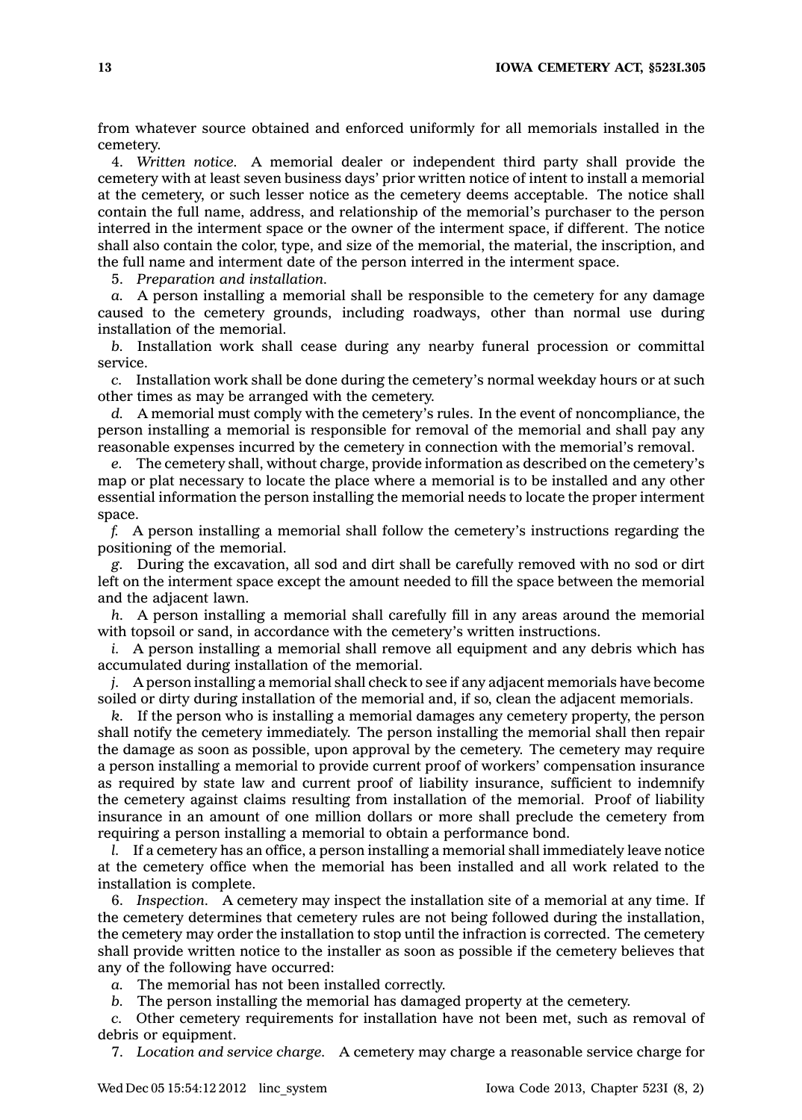from whatever source obtained and enforced uniformly for all memorials installed in the cemetery.

4. *Written notice.* A memorial dealer or independent third party shall provide the cemetery with at least seven business days' prior written notice of intent to install <sup>a</sup> memorial at the cemetery, or such lesser notice as the cemetery deems acceptable. The notice shall contain the full name, address, and relationship of the memorial's purchaser to the person interred in the interment space or the owner of the interment space, if different. The notice shall also contain the color, type, and size of the memorial, the material, the inscription, and the full name and interment date of the person interred in the interment space.

5. *Preparation and installation.*

*a.* A person installing <sup>a</sup> memorial shall be responsible to the cemetery for any damage caused to the cemetery grounds, including roadways, other than normal use during installation of the memorial.

*b.* Installation work shall cease during any nearby funeral procession or committal service.

*c.* Installation work shall be done during the cemetery's normal weekday hours or at such other times as may be arranged with the cemetery.

*d.* A memorial must comply with the cemetery's rules. In the event of noncompliance, the person installing <sup>a</sup> memorial is responsible for removal of the memorial and shall pay any reasonable expenses incurred by the cemetery in connection with the memorial's removal.

*e.* The cemetery shall, without charge, provide information as described on the cemetery's map or plat necessary to locate the place where <sup>a</sup> memorial is to be installed and any other essential information the person installing the memorial needs to locate the proper interment space.

*f.* A person installing <sup>a</sup> memorial shall follow the cemetery's instructions regarding the positioning of the memorial.

*g.* During the excavation, all sod and dirt shall be carefully removed with no sod or dirt left on the interment space except the amount needed to fill the space between the memorial and the adjacent lawn.

*h.* A person installing <sup>a</sup> memorial shall carefully fill in any areas around the memorial with topsoil or sand, in accordance with the cemetery's written instructions.

*i.* A person installing <sup>a</sup> memorial shall remove all equipment and any debris which has accumulated during installation of the memorial.

*j.* A person installing <sup>a</sup> memorial shall check to see if any adjacent memorials have become soiled or dirty during installation of the memorial and, if so, clean the adjacent memorials.

*k.* If the person who is installing <sup>a</sup> memorial damages any cemetery property, the person shall notify the cemetery immediately. The person installing the memorial shall then repair the damage as soon as possible, upon approval by the cemetery. The cemetery may require <sup>a</sup> person installing <sup>a</sup> memorial to provide current proof of workers' compensation insurance as required by state law and current proof of liability insurance, sufficient to indemnify the cemetery against claims resulting from installation of the memorial. Proof of liability insurance in an amount of one million dollars or more shall preclude the cemetery from requiring <sup>a</sup> person installing <sup>a</sup> memorial to obtain <sup>a</sup> performance bond.

*l.* If <sup>a</sup> cemetery has an office, <sup>a</sup> person installing <sup>a</sup> memorial shall immediately leave notice at the cemetery office when the memorial has been installed and all work related to the installation is complete.

6. *Inspection.* A cemetery may inspect the installation site of <sup>a</sup> memorial at any time. If the cemetery determines that cemetery rules are not being followed during the installation, the cemetery may order the installation to stop until the infraction is corrected. The cemetery shall provide written notice to the installer as soon as possible if the cemetery believes that any of the following have occurred:

*a.* The memorial has not been installed correctly.

*b.* The person installing the memorial has damaged property at the cemetery.

*c.* Other cemetery requirements for installation have not been met, such as removal of debris or equipment.

7. *Location and service charge.* A cemetery may charge <sup>a</sup> reasonable service charge for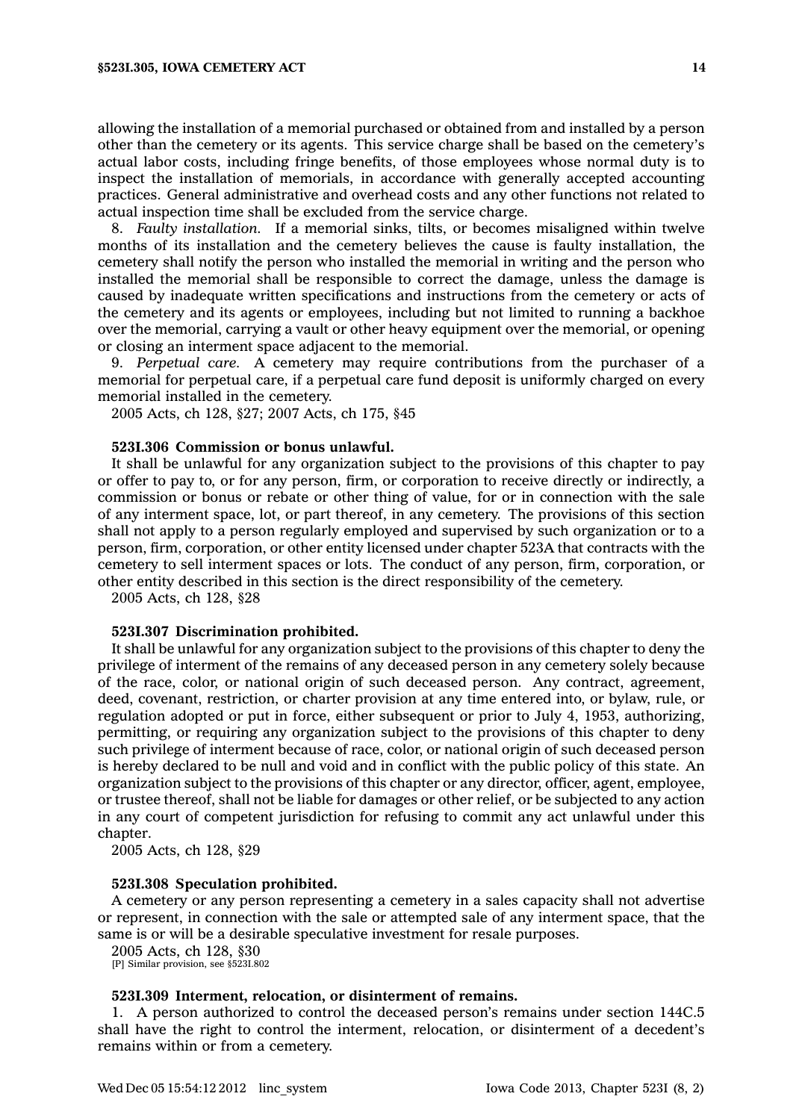allowing the installation of <sup>a</sup> memorial purchased or obtained from and installed by <sup>a</sup> person other than the cemetery or its agents. This service charge shall be based on the cemetery's actual labor costs, including fringe benefits, of those employees whose normal duty is to inspect the installation of memorials, in accordance with generally accepted accounting practices. General administrative and overhead costs and any other functions not related to actual inspection time shall be excluded from the service charge.

8. *Faulty installation.* If <sup>a</sup> memorial sinks, tilts, or becomes misaligned within twelve months of its installation and the cemetery believes the cause is faulty installation, the cemetery shall notify the person who installed the memorial in writing and the person who installed the memorial shall be responsible to correct the damage, unless the damage is caused by inadequate written specifications and instructions from the cemetery or acts of the cemetery and its agents or employees, including but not limited to running <sup>a</sup> backhoe over the memorial, carrying <sup>a</sup> vault or other heavy equipment over the memorial, or opening or closing an interment space adjacent to the memorial.

9. *Perpetual care.* A cemetery may require contributions from the purchaser of <sup>a</sup> memorial for perpetual care, if <sup>a</sup> perpetual care fund deposit is uniformly charged on every memorial installed in the cemetery.

2005 Acts, ch 128, §27; 2007 Acts, ch 175, §45

#### **523I.306 Commission or bonus unlawful.**

It shall be unlawful for any organization subject to the provisions of this chapter to pay or offer to pay to, or for any person, firm, or corporation to receive directly or indirectly, <sup>a</sup> commission or bonus or rebate or other thing of value, for or in connection with the sale of any interment space, lot, or part thereof, in any cemetery. The provisions of this section shall not apply to <sup>a</sup> person regularly employed and supervised by such organization or to <sup>a</sup> person, firm, corporation, or other entity licensed under chapter 523A that contracts with the cemetery to sell interment spaces or lots. The conduct of any person, firm, corporation, or other entity described in this section is the direct responsibility of the cemetery.

2005 Acts, ch 128, §28

#### **523I.307 Discrimination prohibited.**

It shall be unlawful for any organization subject to the provisions of this chapter to deny the privilege of interment of the remains of any deceased person in any cemetery solely because of the race, color, or national origin of such deceased person. Any contract, agreement, deed, covenant, restriction, or charter provision at any time entered into, or bylaw, rule, or regulation adopted or put in force, either subsequent or prior to July 4, 1953, authorizing, permitting, or requiring any organization subject to the provisions of this chapter to deny such privilege of interment because of race, color, or national origin of such deceased person is hereby declared to be null and void and in conflict with the public policy of this state. An organization subject to the provisions of this chapter or any director, officer, agent, employee, or trustee thereof, shall not be liable for damages or other relief, or be subjected to any action in any court of competent jurisdiction for refusing to commit any act unlawful under this chapter.

2005 Acts, ch 128, §29

### **523I.308 Speculation prohibited.**

A cemetery or any person representing <sup>a</sup> cemetery in <sup>a</sup> sales capacity shall not advertise or represent, in connection with the sale or attempted sale of any interment space, that the same is or will be <sup>a</sup> desirable speculative investment for resale purposes.

2005 Acts, ch 128, §30 [P] Similar provision, see §523I.802

#### **523I.309 Interment, relocation, or disinterment of remains.**

1. A person authorized to control the deceased person's remains under section 144C.5 shall have the right to control the interment, relocation, or disinterment of <sup>a</sup> decedent's remains within or from <sup>a</sup> cemetery.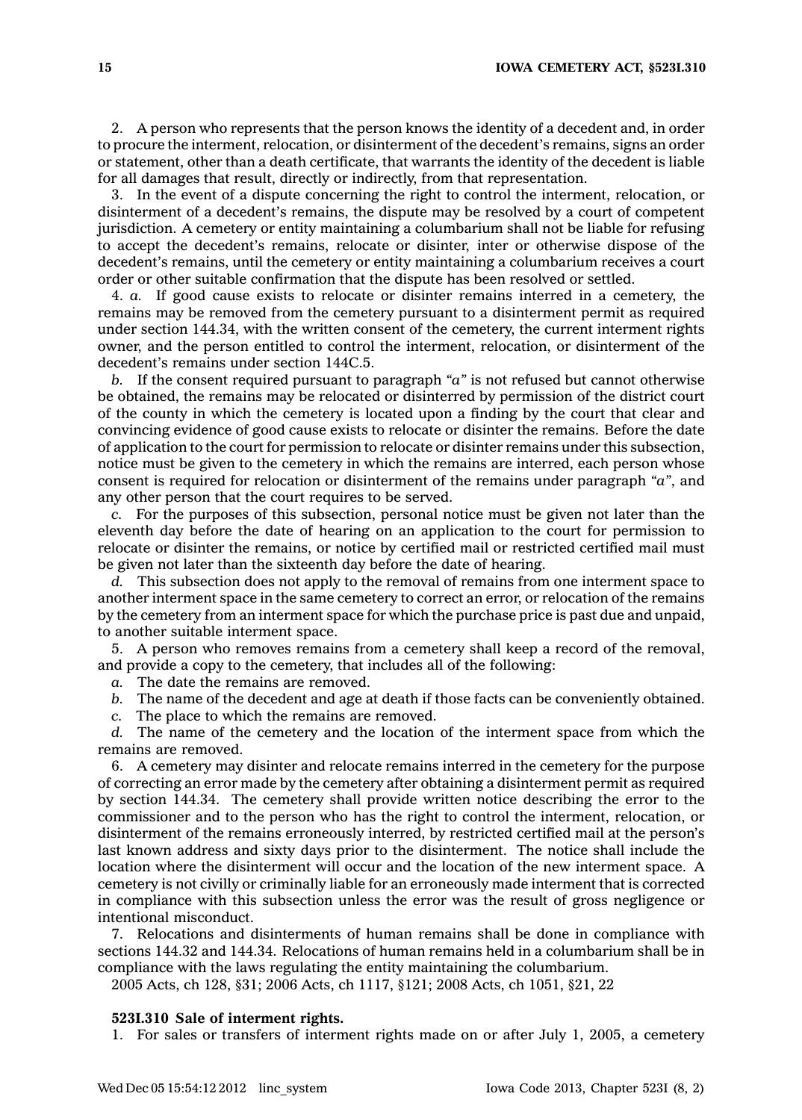2. A person who represents that the person knows the identity of <sup>a</sup> decedent and, in order to procure the interment, relocation, or disinterment of the decedent's remains, signs an order or statement, other than <sup>a</sup> death certificate, that warrants the identity of the decedent is liable for all damages that result, directly or indirectly, from that representation.

3. In the event of <sup>a</sup> dispute concerning the right to control the interment, relocation, or disinterment of <sup>a</sup> decedent's remains, the dispute may be resolved by <sup>a</sup> court of competent jurisdiction. A cemetery or entity maintaining <sup>a</sup> columbarium shall not be liable for refusing to accept the decedent's remains, relocate or disinter, inter or otherwise dispose of the decedent's remains, until the cemetery or entity maintaining <sup>a</sup> columbarium receives <sup>a</sup> court order or other suitable confirmation that the dispute has been resolved or settled.

4. *a.* If good cause exists to relocate or disinter remains interred in <sup>a</sup> cemetery, the remains may be removed from the cemetery pursuant to <sup>a</sup> disinterment permit as required under section 144.34, with the written consent of the cemetery, the current interment rights owner, and the person entitled to control the interment, relocation, or disinterment of the decedent's remains under section 144C.5.

*b.* If the consent required pursuant to paragraph *"a"* is not refused but cannot otherwise be obtained, the remains may be relocated or disinterred by permission of the district court of the county in which the cemetery is located upon <sup>a</sup> finding by the court that clear and convincing evidence of good cause exists to relocate or disinter the remains. Before the date of application to the court for permission to relocate or disinter remains under this subsection, notice must be given to the cemetery in which the remains are interred, each person whose consent is required for relocation or disinterment of the remains under paragraph *"a"*, and any other person that the court requires to be served.

*c.* For the purposes of this subsection, personal notice must be given not later than the eleventh day before the date of hearing on an application to the court for permission to relocate or disinter the remains, or notice by certified mail or restricted certified mail must be given not later than the sixteenth day before the date of hearing.

*d.* This subsection does not apply to the removal of remains from one interment space to another interment space in the same cemetery to correct an error, or relocation of the remains by the cemetery from an interment space for which the purchase price is past due and unpaid, to another suitable interment space.

5. A person who removes remains from <sup>a</sup> cemetery shall keep <sup>a</sup> record of the removal, and provide <sup>a</sup> copy to the cemetery, that includes all of the following:

*a.* The date the remains are removed.

*b.* The name of the decedent and age at death if those facts can be conveniently obtained.

*c.* The place to which the remains are removed.

*d.* The name of the cemetery and the location of the interment space from which the remains are removed.

6. A cemetery may disinter and relocate remains interred in the cemetery for the purpose of correcting an error made by the cemetery after obtaining <sup>a</sup> disinterment permit as required by section 144.34. The cemetery shall provide written notice describing the error to the commissioner and to the person who has the right to control the interment, relocation, or disinterment of the remains erroneously interred, by restricted certified mail at the person's last known address and sixty days prior to the disinterment. The notice shall include the location where the disinterment will occur and the location of the new interment space. A cemetery is not civilly or criminally liable for an erroneously made interment that is corrected in compliance with this subsection unless the error was the result of gross negligence or intentional misconduct.

7. Relocations and disinterments of human remains shall be done in compliance with sections 144.32 and 144.34. Relocations of human remains held in <sup>a</sup> columbarium shall be in compliance with the laws regulating the entity maintaining the columbarium.

2005 Acts, ch 128, §31; 2006 Acts, ch 1117, §121; 2008 Acts, ch 1051, §21, 22

## **523I.310 Sale of interment rights.**

1. For sales or transfers of interment rights made on or after July 1, 2005, <sup>a</sup> cemetery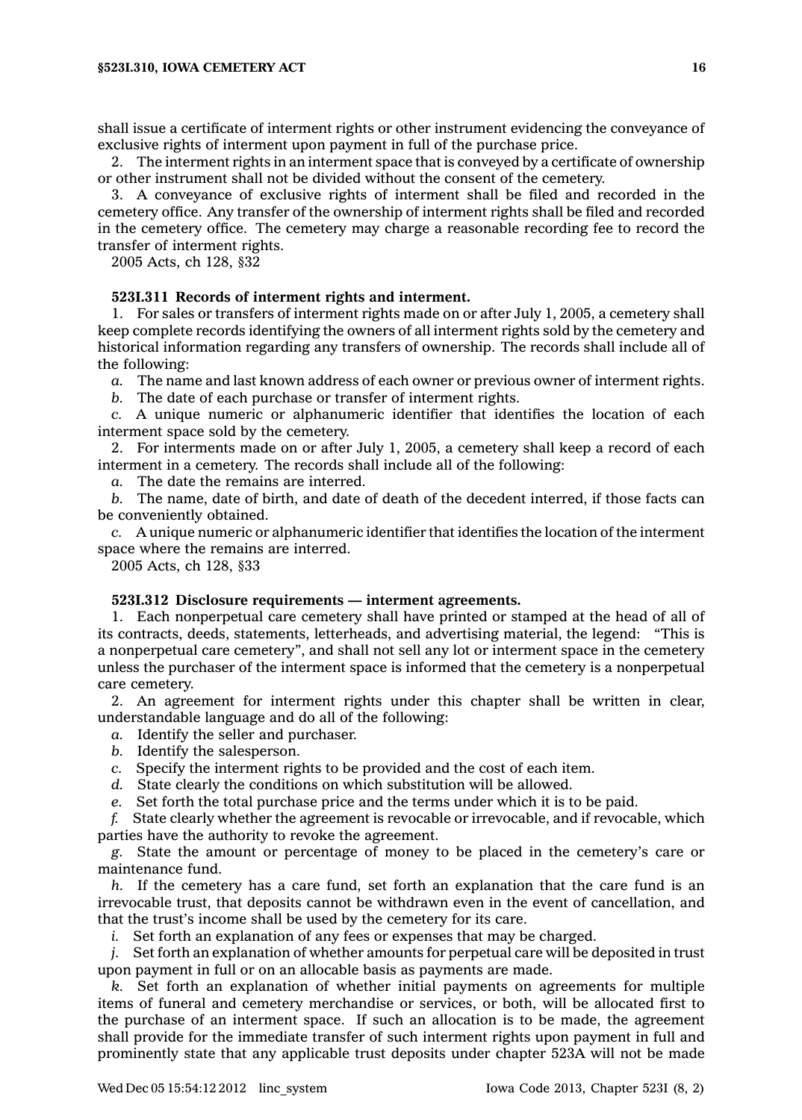shall issue <sup>a</sup> certificate of interment rights or other instrument evidencing the conveyance of exclusive rights of interment upon payment in full of the purchase price.

2. The interment rights in an interment space that is conveyed by <sup>a</sup> certificate of ownership or other instrument shall not be divided without the consent of the cemetery.

3. A conveyance of exclusive rights of interment shall be filed and recorded in the cemetery office. Any transfer of the ownership of interment rights shall be filed and recorded in the cemetery office. The cemetery may charge <sup>a</sup> reasonable recording fee to record the transfer of interment rights.

2005 Acts, ch 128, §32

## **523I.311 Records of interment rights and interment.**

1. For sales or transfers of interment rights made on or after July 1, 2005, <sup>a</sup> cemetery shall keep complete records identifying the owners of all interment rights sold by the cemetery and historical information regarding any transfers of ownership. The records shall include all of the following:

*a.* The name and last known address of each owner or previous owner of interment rights.

*b.* The date of each purchase or transfer of interment rights.

*c.* A unique numeric or alphanumeric identifier that identifies the location of each interment space sold by the cemetery.

2. For interments made on or after July 1, 2005, <sup>a</sup> cemetery shall keep <sup>a</sup> record of each interment in <sup>a</sup> cemetery. The records shall include all of the following:

*a.* The date the remains are interred.

*b.* The name, date of birth, and date of death of the decedent interred, if those facts can be conveniently obtained.

*c.* A unique numeric or alphanumeric identifier that identifies the location of the interment space where the remains are interred.

2005 Acts, ch 128, §33

#### **523I.312 Disclosure requirements — interment agreements.**

1. Each nonperpetual care cemetery shall have printed or stamped at the head of all of its contracts, deeds, statements, letterheads, and advertising material, the legend: "This is <sup>a</sup> nonperpetual care cemetery", and shall not sell any lot or interment space in the cemetery unless the purchaser of the interment space is informed that the cemetery is <sup>a</sup> nonperpetual care cemetery.

2. An agreement for interment rights under this chapter shall be written in clear, understandable language and do all of the following:

- *a.* Identify the seller and purchaser.
- *b.* Identify the salesperson.
- *c.* Specify the interment rights to be provided and the cost of each item.
- *d.* State clearly the conditions on which substitution will be allowed.
- *e.* Set forth the total purchase price and the terms under which it is to be paid.

*f.* State clearly whether the agreement is revocable or irrevocable, and if revocable, which parties have the authority to revoke the agreement.

*g.* State the amount or percentage of money to be placed in the cemetery's care or maintenance fund.

*h.* If the cemetery has <sup>a</sup> care fund, set forth an explanation that the care fund is an irrevocable trust, that deposits cannot be withdrawn even in the event of cancellation, and that the trust's income shall be used by the cemetery for its care.

*i.* Set forth an explanation of any fees or expenses that may be charged.

*j.* Set forth an explanation of whether amounts for perpetual care will be deposited in trust upon payment in full or on an allocable basis as payments are made.

*k.* Set forth an explanation of whether initial payments on agreements for multiple items of funeral and cemetery merchandise or services, or both, will be allocated first to the purchase of an interment space. If such an allocation is to be made, the agreement shall provide for the immediate transfer of such interment rights upon payment in full and prominently state that any applicable trust deposits under chapter 523A will not be made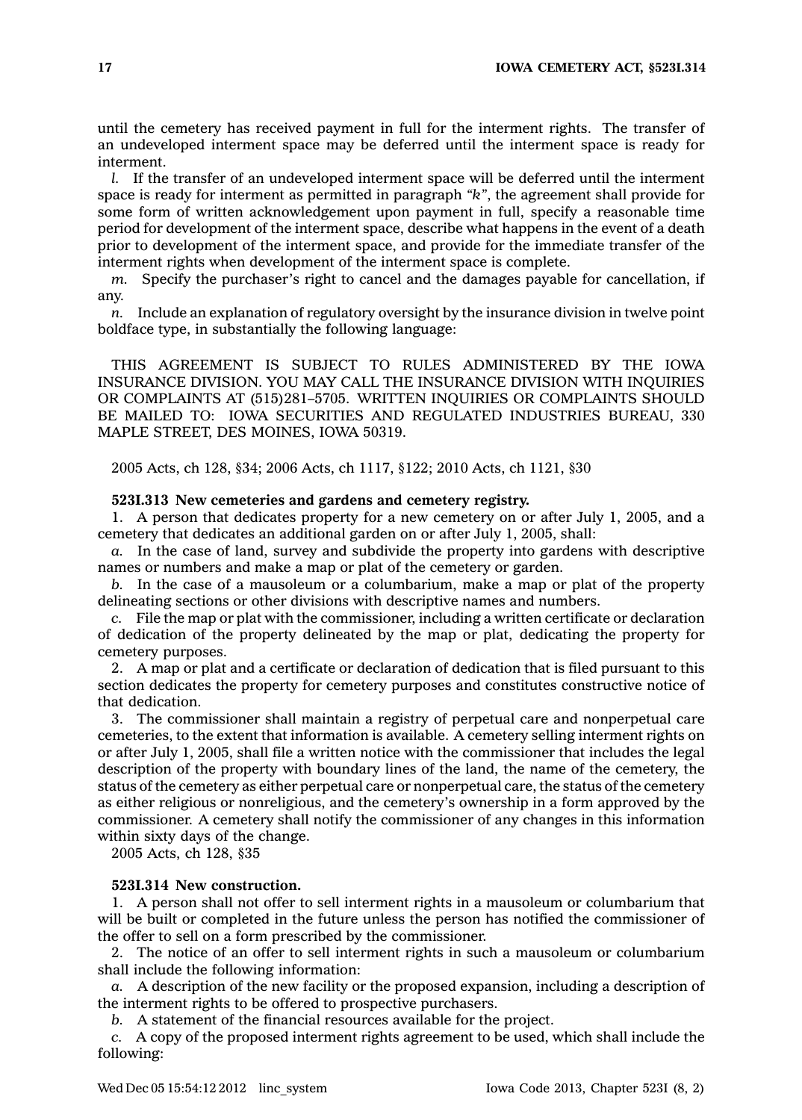until the cemetery has received payment in full for the interment rights. The transfer of an undeveloped interment space may be deferred until the interment space is ready for interment.

*l.* If the transfer of an undeveloped interment space will be deferred until the interment space is ready for interment as permitted in paragraph *"k"*, the agreement shall provide for some form of written acknowledgement upon payment in full, specify <sup>a</sup> reasonable time period for development of the interment space, describe what happens in the event of <sup>a</sup> death prior to development of the interment space, and provide for the immediate transfer of the interment rights when development of the interment space is complete.

*m.* Specify the purchaser's right to cancel and the damages payable for cancellation, if any.

*n.* Include an explanation of regulatory oversight by the insurance division in twelve point boldface type, in substantially the following language:

THIS AGREEMENT IS SUBJECT TO RULES ADMINISTERED BY THE IOWA INSURANCE DIVISION. YOU MAY CALL THE INSURANCE DIVISION WITH INQUIRIES OR COMPLAINTS AT (515)281–5705. WRITTEN INQUIRIES OR COMPLAINTS SHOULD BE MAILED TO: IOWA SECURITIES AND REGULATED INDUSTRIES BUREAU, 330 MAPLE STREET, DES MOINES, IOWA 50319.

2005 Acts, ch 128, §34; 2006 Acts, ch 1117, §122; 2010 Acts, ch 1121, §30

## **523I.313 New cemeteries and gardens and cemetery registry.**

1. A person that dedicates property for <sup>a</sup> new cemetery on or after July 1, 2005, and <sup>a</sup> cemetery that dedicates an additional garden on or after July 1, 2005, shall:

*a.* In the case of land, survey and subdivide the property into gardens with descriptive names or numbers and make <sup>a</sup> map or plat of the cemetery or garden.

*b.* In the case of <sup>a</sup> mausoleum or <sup>a</sup> columbarium, make <sup>a</sup> map or plat of the property delineating sections or other divisions with descriptive names and numbers.

*c.* File the map or plat with the commissioner, including <sup>a</sup> written certificate or declaration of dedication of the property delineated by the map or plat, dedicating the property for cemetery purposes.

2. A map or plat and <sup>a</sup> certificate or declaration of dedication that is filed pursuant to this section dedicates the property for cemetery purposes and constitutes constructive notice of that dedication.

3. The commissioner shall maintain <sup>a</sup> registry of perpetual care and nonperpetual care cemeteries, to the extent that information is available. A cemetery selling interment rights on or after July 1, 2005, shall file <sup>a</sup> written notice with the commissioner that includes the legal description of the property with boundary lines of the land, the name of the cemetery, the status of the cemetery as either perpetual care or nonperpetual care, the status of the cemetery as either religious or nonreligious, and the cemetery's ownership in <sup>a</sup> form approved by the commissioner. A cemetery shall notify the commissioner of any changes in this information within sixty days of the change.

2005 Acts, ch 128, §35

## **523I.314 New construction.**

1. A person shall not offer to sell interment rights in <sup>a</sup> mausoleum or columbarium that will be built or completed in the future unless the person has notified the commissioner of the offer to sell on <sup>a</sup> form prescribed by the commissioner.

2. The notice of an offer to sell interment rights in such <sup>a</sup> mausoleum or columbarium shall include the following information:

*a.* A description of the new facility or the proposed expansion, including <sup>a</sup> description of the interment rights to be offered to prospective purchasers.

*b.* A statement of the financial resources available for the project.

*c.* A copy of the proposed interment rights agreement to be used, which shall include the following: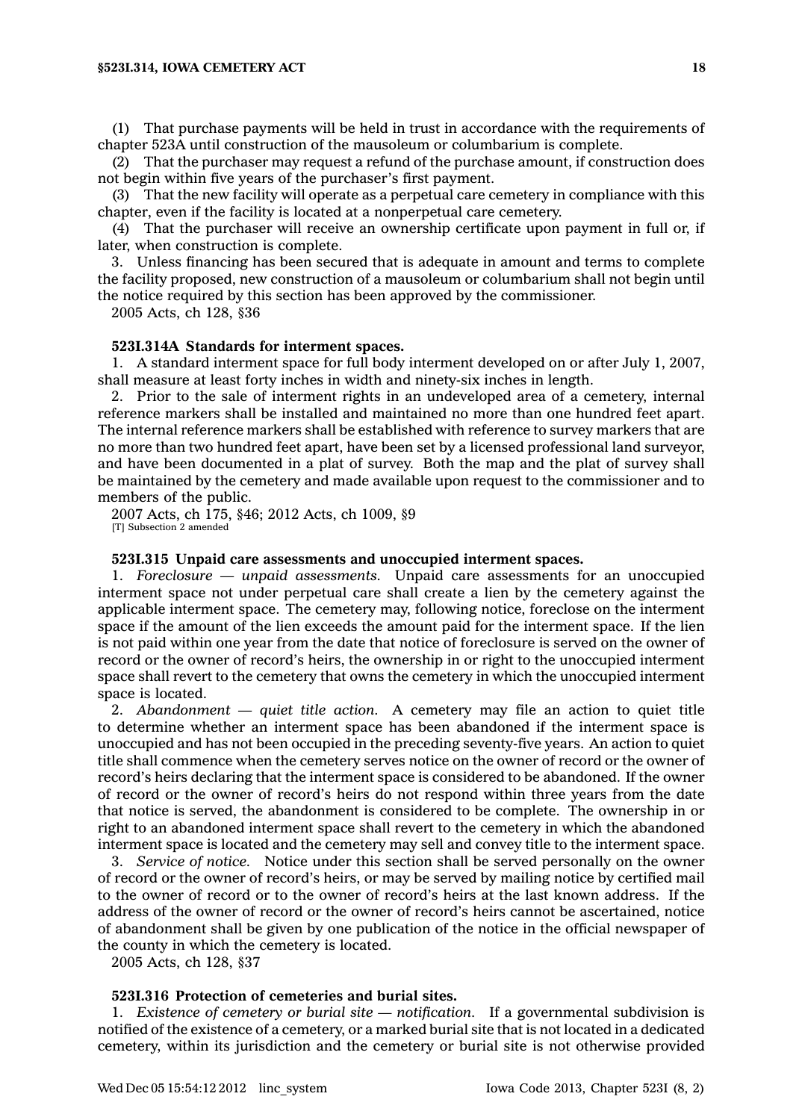#### **§523I.314, IOWA CEMETERY ACT 18**

(1) That purchase payments will be held in trust in accordance with the requirements of chapter 523A until construction of the mausoleum or columbarium is complete.

(2) That the purchaser may request <sup>a</sup> refund of the purchase amount, if construction does not begin within five years of the purchaser's first payment.

(3) That the new facility will operate as <sup>a</sup> perpetual care cemetery in compliance with this chapter, even if the facility is located at <sup>a</sup> nonperpetual care cemetery.

(4) That the purchaser will receive an ownership certificate upon payment in full or, if later, when construction is complete.

3. Unless financing has been secured that is adequate in amount and terms to complete the facility proposed, new construction of <sup>a</sup> mausoleum or columbarium shall not begin until the notice required by this section has been approved by the commissioner.

2005 Acts, ch 128, §36

### **523I.314A Standards for interment spaces.**

1. A standard interment space for full body interment developed on or after July 1, 2007, shall measure at least forty inches in width and ninety-six inches in length.

2. Prior to the sale of interment rights in an undeveloped area of <sup>a</sup> cemetery, internal reference markers shall be installed and maintained no more than one hundred feet apart. The internal reference markers shall be established with reference to survey markers that are no more than two hundred feet apart, have been set by <sup>a</sup> licensed professional land surveyor, and have been documented in <sup>a</sup> plat of survey. Both the map and the plat of survey shall be maintained by the cemetery and made available upon request to the commissioner and to members of the public.

2007 Acts, ch 175, §46; 2012 Acts, ch 1009, §9 [T] Subsection 2 amended

### **523I.315 Unpaid care assessments and unoccupied interment spaces.**

1. *Foreclosure — unpaid assessments.* Unpaid care assessments for an unoccupied interment space not under perpetual care shall create <sup>a</sup> lien by the cemetery against the applicable interment space. The cemetery may, following notice, foreclose on the interment space if the amount of the lien exceeds the amount paid for the interment space. If the lien is not paid within one year from the date that notice of foreclosure is served on the owner of record or the owner of record's heirs, the ownership in or right to the unoccupied interment space shall revert to the cemetery that owns the cemetery in which the unoccupied interment space is located.

2. *Abandonment — quiet title action.* A cemetery may file an action to quiet title to determine whether an interment space has been abandoned if the interment space is unoccupied and has not been occupied in the preceding seventy-five years. An action to quiet title shall commence when the cemetery serves notice on the owner of record or the owner of record's heirs declaring that the interment space is considered to be abandoned. If the owner of record or the owner of record's heirs do not respond within three years from the date that notice is served, the abandonment is considered to be complete. The ownership in or right to an abandoned interment space shall revert to the cemetery in which the abandoned interment space is located and the cemetery may sell and convey title to the interment space.

3. *Service of notice.* Notice under this section shall be served personally on the owner of record or the owner of record's heirs, or may be served by mailing notice by certified mail to the owner of record or to the owner of record's heirs at the last known address. If the address of the owner of record or the owner of record's heirs cannot be ascertained, notice of abandonment shall be given by one publication of the notice in the official newspaper of the county in which the cemetery is located.

2005 Acts, ch 128, §37

## **523I.316 Protection of cemeteries and burial sites.**

1. *Existence of cemetery or burial site — notification.* If <sup>a</sup> governmental subdivision is notified of the existence of <sup>a</sup> cemetery, or <sup>a</sup> marked burial site that is not located in <sup>a</sup> dedicated cemetery, within its jurisdiction and the cemetery or burial site is not otherwise provided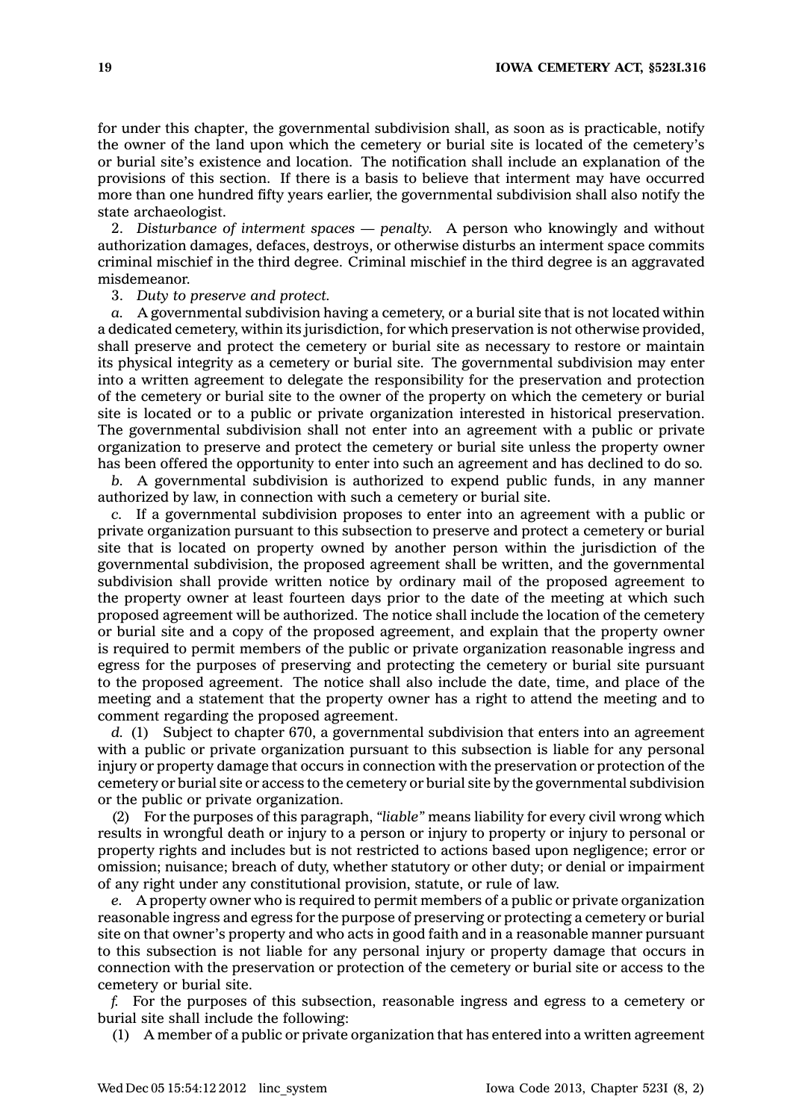for under this chapter, the governmental subdivision shall, as soon as is practicable, notify the owner of the land upon which the cemetery or burial site is located of the cemetery's or burial site's existence and location. The notification shall include an explanation of the provisions of this section. If there is <sup>a</sup> basis to believe that interment may have occurred more than one hundred fifty years earlier, the governmental subdivision shall also notify the state archaeologist.

2. *Disturbance of interment spaces — penalty.* A person who knowingly and without authorization damages, defaces, destroys, or otherwise disturbs an interment space commits criminal mischief in the third degree. Criminal mischief in the third degree is an aggravated misdemeanor.

3. *Duty to preserve and protect.*

*a.* A governmental subdivision having <sup>a</sup> cemetery, or <sup>a</sup> burial site that is not located within <sup>a</sup> dedicated cemetery, within its jurisdiction, for which preservation is not otherwise provided, shall preserve and protect the cemetery or burial site as necessary to restore or maintain its physical integrity as <sup>a</sup> cemetery or burial site. The governmental subdivision may enter into <sup>a</sup> written agreement to delegate the responsibility for the preservation and protection of the cemetery or burial site to the owner of the property on which the cemetery or burial site is located or to <sup>a</sup> public or private organization interested in historical preservation. The governmental subdivision shall not enter into an agreement with <sup>a</sup> public or private organization to preserve and protect the cemetery or burial site unless the property owner has been offered the opportunity to enter into such an agreement and has declined to do so.

*b.* A governmental subdivision is authorized to expend public funds, in any manner authorized by law, in connection with such <sup>a</sup> cemetery or burial site.

*c.* If <sup>a</sup> governmental subdivision proposes to enter into an agreement with <sup>a</sup> public or private organization pursuant to this subsection to preserve and protect <sup>a</sup> cemetery or burial site that is located on property owned by another person within the jurisdiction of the governmental subdivision, the proposed agreement shall be written, and the governmental subdivision shall provide written notice by ordinary mail of the proposed agreement to the property owner at least fourteen days prior to the date of the meeting at which such proposed agreement will be authorized. The notice shall include the location of the cemetery or burial site and <sup>a</sup> copy of the proposed agreement, and explain that the property owner is required to permit members of the public or private organization reasonable ingress and egress for the purposes of preserving and protecting the cemetery or burial site pursuant to the proposed agreement. The notice shall also include the date, time, and place of the meeting and <sup>a</sup> statement that the property owner has <sup>a</sup> right to attend the meeting and to comment regarding the proposed agreement.

*d.* (1) Subject to chapter 670, <sup>a</sup> governmental subdivision that enters into an agreement with <sup>a</sup> public or private organization pursuant to this subsection is liable for any personal injury or property damage that occurs in connection with the preservation or protection of the cemetery or burial site or access to the cemetery or burial site by the governmental subdivision or the public or private organization.

(2) For the purposes of this paragraph, *"liable"* means liability for every civil wrong which results in wrongful death or injury to <sup>a</sup> person or injury to property or injury to personal or property rights and includes but is not restricted to actions based upon negligence; error or omission; nuisance; breach of duty, whether statutory or other duty; or denial or impairment of any right under any constitutional provision, statute, or rule of law.

*e.* A property owner who is required to permit members of <sup>a</sup> public or private organization reasonable ingress and egress for the purpose of preserving or protecting <sup>a</sup> cemetery or burial site on that owner's property and who acts in good faith and in <sup>a</sup> reasonable manner pursuant to this subsection is not liable for any personal injury or property damage that occurs in connection with the preservation or protection of the cemetery or burial site or access to the cemetery or burial site.

*f.* For the purposes of this subsection, reasonable ingress and egress to <sup>a</sup> cemetery or burial site shall include the following:

(1) A member of <sup>a</sup> public or private organization that has entered into <sup>a</sup> written agreement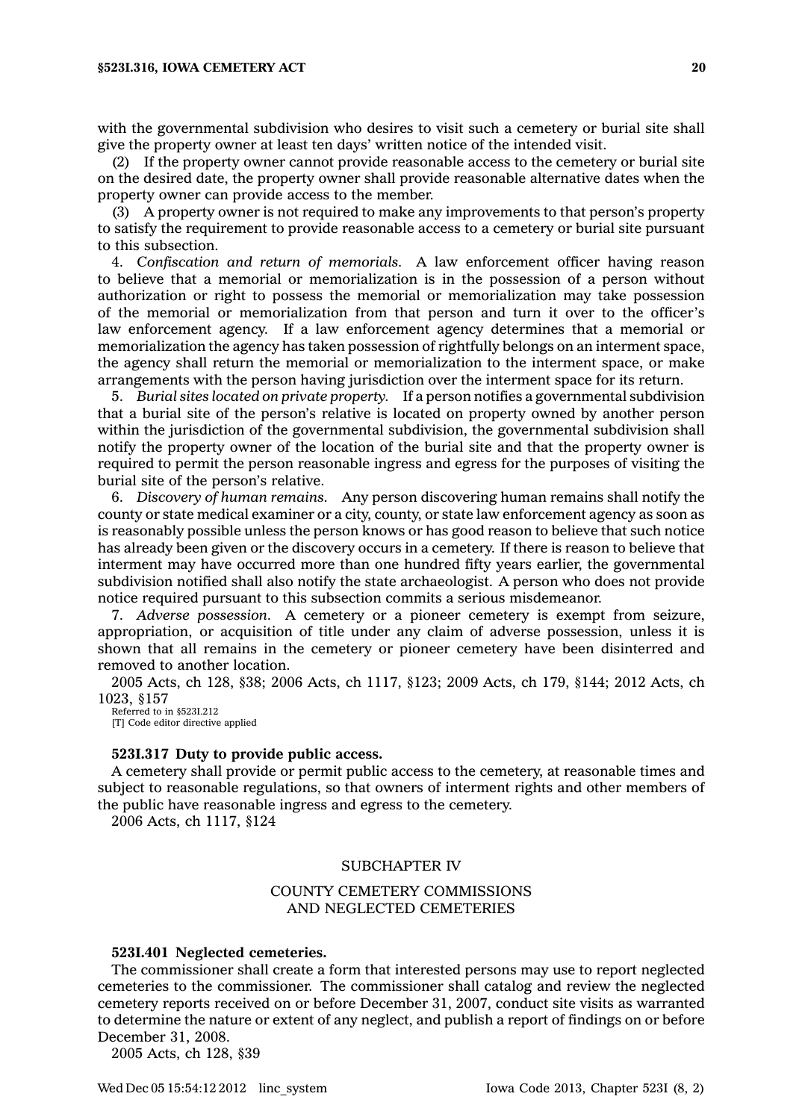with the governmental subdivision who desires to visit such <sup>a</sup> cemetery or burial site shall give the property owner at least ten days' written notice of the intended visit.

(2) If the property owner cannot provide reasonable access to the cemetery or burial site on the desired date, the property owner shall provide reasonable alternative dates when the property owner can provide access to the member.

(3) A property owner is not required to make any improvements to that person's property to satisfy the requirement to provide reasonable access to <sup>a</sup> cemetery or burial site pursuant to this subsection.

4. *Confiscation and return of memorials.* A law enforcement officer having reason to believe that <sup>a</sup> memorial or memorialization is in the possession of <sup>a</sup> person without authorization or right to possess the memorial or memorialization may take possession of the memorial or memorialization from that person and turn it over to the officer's law enforcement agency. If <sup>a</sup> law enforcement agency determines that <sup>a</sup> memorial or memorialization the agency has taken possession of rightfully belongs on an interment space, the agency shall return the memorial or memorialization to the interment space, or make arrangements with the person having jurisdiction over the interment space for its return.

5. *Burial sites located on private property.* If <sup>a</sup> person notifies <sup>a</sup> governmental subdivision that <sup>a</sup> burial site of the person's relative is located on property owned by another person within the jurisdiction of the governmental subdivision, the governmental subdivision shall notify the property owner of the location of the burial site and that the property owner is required to permit the person reasonable ingress and egress for the purposes of visiting the burial site of the person's relative.

6. *Discovery of human remains.* Any person discovering human remains shall notify the county or state medical examiner or <sup>a</sup> city, county, or state law enforcement agency as soon as is reasonably possible unless the person knows or has good reason to believe that such notice has already been given or the discovery occurs in <sup>a</sup> cemetery. If there is reason to believe that interment may have occurred more than one hundred fifty years earlier, the governmental subdivision notified shall also notify the state archaeologist. A person who does not provide notice required pursuant to this subsection commits <sup>a</sup> serious misdemeanor.

7. *Adverse possession.* A cemetery or <sup>a</sup> pioneer cemetery is exempt from seizure, appropriation, or acquisition of title under any claim of adverse possession, unless it is shown that all remains in the cemetery or pioneer cemetery have been disinterred and removed to another location.

2005 Acts, ch 128, §38; 2006 Acts, ch 1117, §123; 2009 Acts, ch 179, §144; 2012 Acts, ch 1023, §157

Referred to in §523I.212 [T] Code editor directive applied

#### **523I.317 Duty to provide public access.**

A cemetery shall provide or permit public access to the cemetery, at reasonable times and subject to reasonable regulations, so that owners of interment rights and other members of the public have reasonable ingress and egress to the cemetery.

2006 Acts, ch 1117, §124

#### SUBCHAPTER IV

## COUNTY CEMETERY COMMISSIONS AND NEGLECTED CEMETERIES

#### **523I.401 Neglected cemeteries.**

The commissioner shall create <sup>a</sup> form that interested persons may use to report neglected cemeteries to the commissioner. The commissioner shall catalog and review the neglected cemetery reports received on or before December 31, 2007, conduct site visits as warranted to determine the nature or extent of any neglect, and publish <sup>a</sup> report of findings on or before December 31, 2008.

2005 Acts, ch 128, §39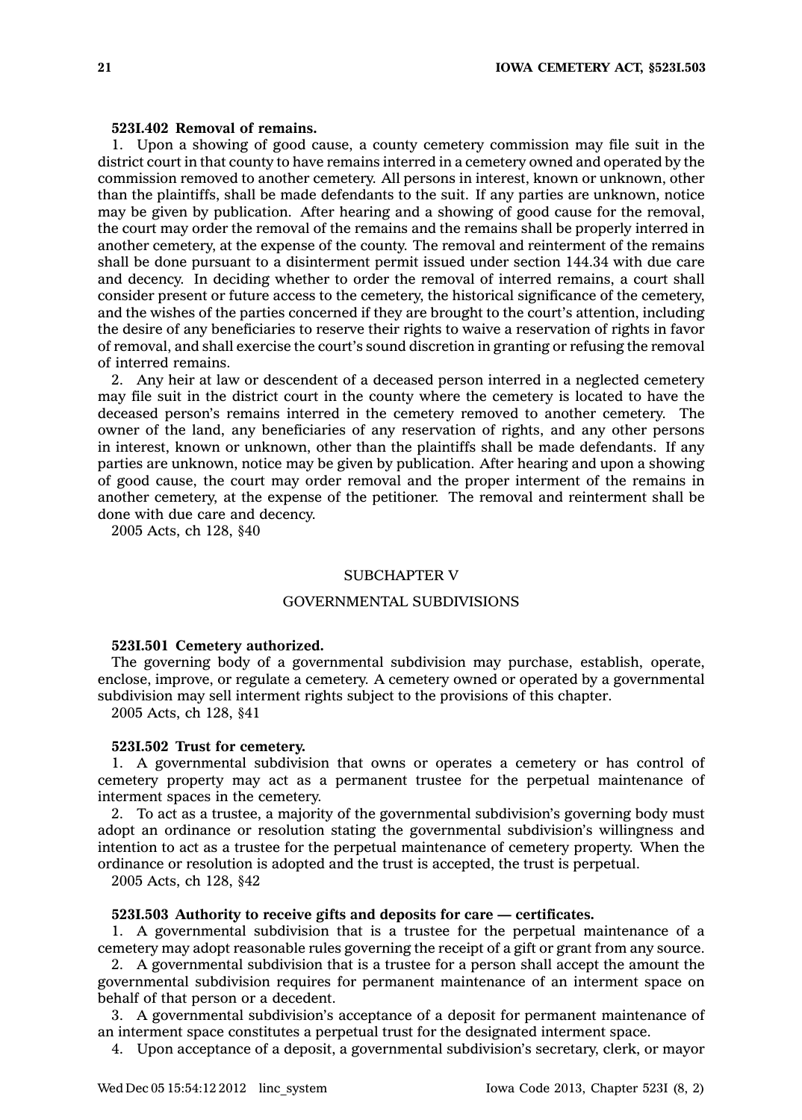### **523I.402 Removal of remains.**

1. Upon <sup>a</sup> showing of good cause, <sup>a</sup> county cemetery commission may file suit in the district court in that county to have remains interred in <sup>a</sup> cemetery owned and operated by the commission removed to another cemetery. All persons in interest, known or unknown, other than the plaintiffs, shall be made defendants to the suit. If any parties are unknown, notice may be given by publication. After hearing and <sup>a</sup> showing of good cause for the removal, the court may order the removal of the remains and the remains shall be properly interred in another cemetery, at the expense of the county. The removal and reinterment of the remains shall be done pursuant to <sup>a</sup> disinterment permit issued under section 144.34 with due care and decency. In deciding whether to order the removal of interred remains, <sup>a</sup> court shall consider present or future access to the cemetery, the historical significance of the cemetery, and the wishes of the parties concerned if they are brought to the court's attention, including the desire of any beneficiaries to reserve their rights to waive <sup>a</sup> reservation of rights in favor of removal, and shall exercise the court's sound discretion in granting or refusing the removal of interred remains.

2. Any heir at law or descendent of <sup>a</sup> deceased person interred in <sup>a</sup> neglected cemetery may file suit in the district court in the county where the cemetery is located to have the deceased person's remains interred in the cemetery removed to another cemetery. The owner of the land, any beneficiaries of any reservation of rights, and any other persons in interest, known or unknown, other than the plaintiffs shall be made defendants. If any parties are unknown, notice may be given by publication. After hearing and upon <sup>a</sup> showing of good cause, the court may order removal and the proper interment of the remains in another cemetery, at the expense of the petitioner. The removal and reinterment shall be done with due care and decency.

2005 Acts, ch 128, §40

### SUBCHAPTER V

## GOVERNMENTAL SUBDIVISIONS

#### **523I.501 Cemetery authorized.**

The governing body of <sup>a</sup> governmental subdivision may purchase, establish, operate, enclose, improve, or regulate <sup>a</sup> cemetery. A cemetery owned or operated by <sup>a</sup> governmental subdivision may sell interment rights subject to the provisions of this chapter.

2005 Acts, ch 128, §41

### **523I.502 Trust for cemetery.**

1. A governmental subdivision that owns or operates <sup>a</sup> cemetery or has control of cemetery property may act as <sup>a</sup> permanent trustee for the perpetual maintenance of interment spaces in the cemetery.

2. To act as <sup>a</sup> trustee, <sup>a</sup> majority of the governmental subdivision's governing body must adopt an ordinance or resolution stating the governmental subdivision's willingness and intention to act as <sup>a</sup> trustee for the perpetual maintenance of cemetery property. When the ordinance or resolution is adopted and the trust is accepted, the trust is perpetual.

2005 Acts, ch 128, §42

### **523I.503 Authority to receive gifts and deposits for care — certificates.**

1. A governmental subdivision that is <sup>a</sup> trustee for the perpetual maintenance of <sup>a</sup> cemetery may adopt reasonable rules governing the receipt of <sup>a</sup> gift or grant from any source.

2. A governmental subdivision that is <sup>a</sup> trustee for <sup>a</sup> person shall accept the amount the governmental subdivision requires for permanent maintenance of an interment space on behalf of that person or <sup>a</sup> decedent.

3. A governmental subdivision's acceptance of <sup>a</sup> deposit for permanent maintenance of an interment space constitutes <sup>a</sup> perpetual trust for the designated interment space.

4. Upon acceptance of <sup>a</sup> deposit, <sup>a</sup> governmental subdivision's secretary, clerk, or mayor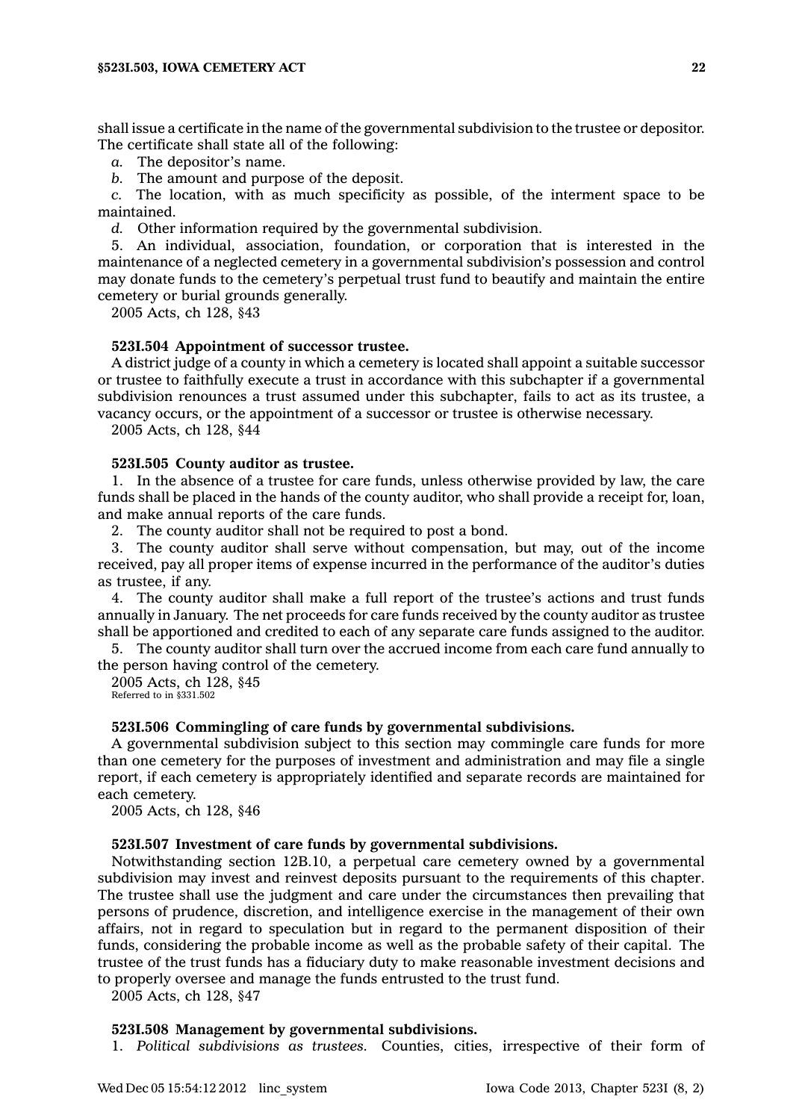shall issue <sup>a</sup> certificate in the name of the governmental subdivision to the trustee or depositor. The certificate shall state all of the following:

*a.* The depositor's name.

*b.* The amount and purpose of the deposit.

*c.* The location, with as much specificity as possible, of the interment space to be maintained.

*d.* Other information required by the governmental subdivision.

5. An individual, association, foundation, or corporation that is interested in the maintenance of <sup>a</sup> neglected cemetery in <sup>a</sup> governmental subdivision's possession and control may donate funds to the cemetery's perpetual trust fund to beautify and maintain the entire cemetery or burial grounds generally.

2005 Acts, ch 128, §43

### **523I.504 Appointment of successor trustee.**

A district judge of <sup>a</sup> county in which <sup>a</sup> cemetery is located shall appoint <sup>a</sup> suitable successor or trustee to faithfully execute <sup>a</sup> trust in accordance with this subchapter if <sup>a</sup> governmental subdivision renounces <sup>a</sup> trust assumed under this subchapter, fails to act as its trustee, <sup>a</sup> vacancy occurs, or the appointment of <sup>a</sup> successor or trustee is otherwise necessary.

2005 Acts, ch 128, §44

### **523I.505 County auditor as trustee.**

1. In the absence of <sup>a</sup> trustee for care funds, unless otherwise provided by law, the care funds shall be placed in the hands of the county auditor, who shall provide <sup>a</sup> receipt for, loan, and make annual reports of the care funds.

2. The county auditor shall not be required to post <sup>a</sup> bond.

3. The county auditor shall serve without compensation, but may, out of the income received, pay all proper items of expense incurred in the performance of the auditor's duties as trustee, if any.

4. The county auditor shall make <sup>a</sup> full report of the trustee's actions and trust funds annually in January. The net proceeds for care funds received by the county auditor as trustee shall be apportioned and credited to each of any separate care funds assigned to the auditor.

5. The county auditor shall turn over the accrued income from each care fund annually to the person having control of the cemetery.

2005 Acts, ch 128, §45 Referred to in §331.502

### **523I.506 Commingling of care funds by governmental subdivisions.**

A governmental subdivision subject to this section may commingle care funds for more than one cemetery for the purposes of investment and administration and may file <sup>a</sup> single report, if each cemetery is appropriately identified and separate records are maintained for each cemetery.

2005 Acts, ch 128, §46

### **523I.507 Investment of care funds by governmental subdivisions.**

Notwithstanding section 12B.10, <sup>a</sup> perpetual care cemetery owned by <sup>a</sup> governmental subdivision may invest and reinvest deposits pursuant to the requirements of this chapter. The trustee shall use the judgment and care under the circumstances then prevailing that persons of prudence, discretion, and intelligence exercise in the management of their own affairs, not in regard to speculation but in regard to the permanent disposition of their funds, considering the probable income as well as the probable safety of their capital. The trustee of the trust funds has <sup>a</sup> fiduciary duty to make reasonable investment decisions and to properly oversee and manage the funds entrusted to the trust fund.

2005 Acts, ch 128, §47

#### **523I.508 Management by governmental subdivisions.**

1. *Political subdivisions as trustees.* Counties, cities, irrespective of their form of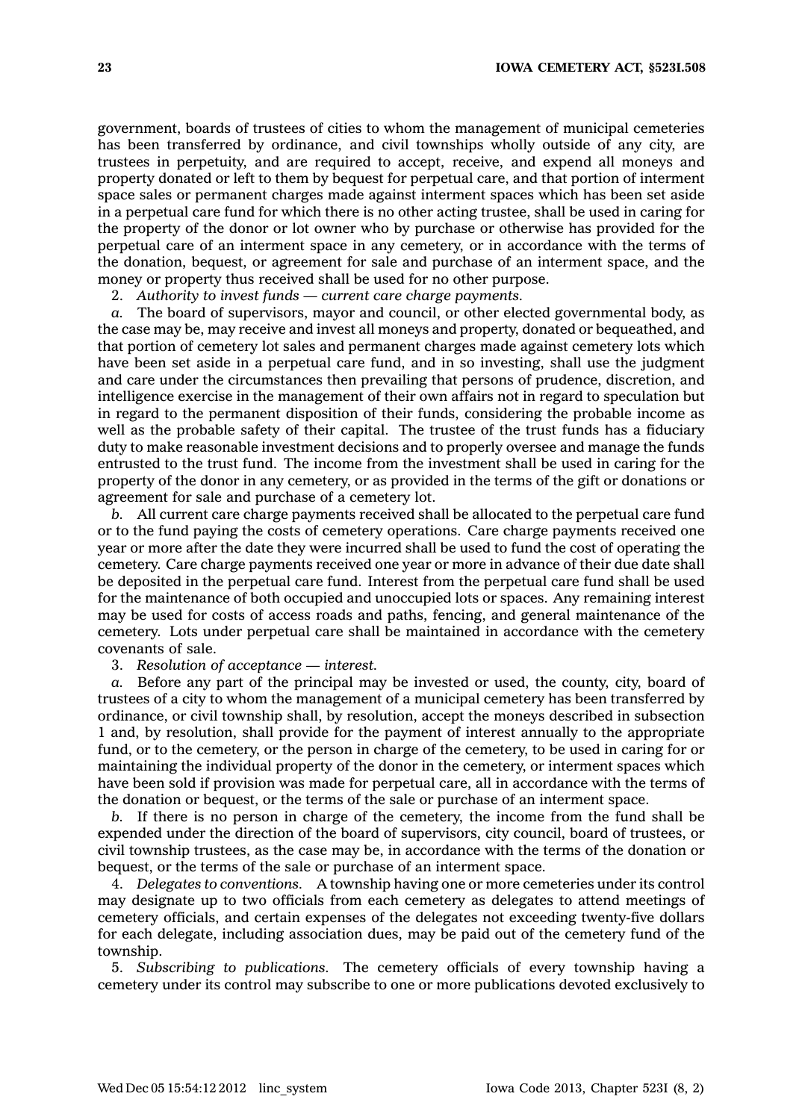government, boards of trustees of cities to whom the management of municipal cemeteries has been transferred by ordinance, and civil townships wholly outside of any city, are trustees in perpetuity, and are required to accept, receive, and expend all moneys and property donated or left to them by bequest for perpetual care, and that portion of interment space sales or permanent charges made against interment spaces which has been set aside in <sup>a</sup> perpetual care fund for which there is no other acting trustee, shall be used in caring for the property of the donor or lot owner who by purchase or otherwise has provided for the perpetual care of an interment space in any cemetery, or in accordance with the terms of the donation, bequest, or agreement for sale and purchase of an interment space, and the money or property thus received shall be used for no other purpose.

2. *Authority to invest funds — current care charge payments.*

*a.* The board of supervisors, mayor and council, or other elected governmental body, as the case may be, may receive and invest all moneys and property, donated or bequeathed, and that portion of cemetery lot sales and permanent charges made against cemetery lots which have been set aside in <sup>a</sup> perpetual care fund, and in so investing, shall use the judgment and care under the circumstances then prevailing that persons of prudence, discretion, and intelligence exercise in the management of their own affairs not in regard to speculation but in regard to the permanent disposition of their funds, considering the probable income as well as the probable safety of their capital. The trustee of the trust funds has a fiduciary duty to make reasonable investment decisions and to properly oversee and manage the funds entrusted to the trust fund. The income from the investment shall be used in caring for the property of the donor in any cemetery, or as provided in the terms of the gift or donations or agreement for sale and purchase of <sup>a</sup> cemetery lot.

*b.* All current care charge payments received shall be allocated to the perpetual care fund or to the fund paying the costs of cemetery operations. Care charge payments received one year or more after the date they were incurred shall be used to fund the cost of operating the cemetery. Care charge payments received one year or more in advance of their due date shall be deposited in the perpetual care fund. Interest from the perpetual care fund shall be used for the maintenance of both occupied and unoccupied lots or spaces. Any remaining interest may be used for costs of access roads and paths, fencing, and general maintenance of the cemetery. Lots under perpetual care shall be maintained in accordance with the cemetery covenants of sale.

3. *Resolution of acceptance — interest.*

*a.* Before any part of the principal may be invested or used, the county, city, board of trustees of <sup>a</sup> city to whom the management of <sup>a</sup> municipal cemetery has been transferred by ordinance, or civil township shall, by resolution, accept the moneys described in subsection 1 and, by resolution, shall provide for the payment of interest annually to the appropriate fund, or to the cemetery, or the person in charge of the cemetery, to be used in caring for or maintaining the individual property of the donor in the cemetery, or interment spaces which have been sold if provision was made for perpetual care, all in accordance with the terms of the donation or bequest, or the terms of the sale or purchase of an interment space.

*b.* If there is no person in charge of the cemetery, the income from the fund shall be expended under the direction of the board of supervisors, city council, board of trustees, or civil township trustees, as the case may be, in accordance with the terms of the donation or bequest, or the terms of the sale or purchase of an interment space.

4. *Delegates to conventions.* A township having one or more cemeteries under its control may designate up to two officials from each cemetery as delegates to attend meetings of cemetery officials, and certain expenses of the delegates not exceeding twenty-five dollars for each delegate, including association dues, may be paid out of the cemetery fund of the township.

5. *Subscribing to publications.* The cemetery officials of every township having <sup>a</sup> cemetery under its control may subscribe to one or more publications devoted exclusively to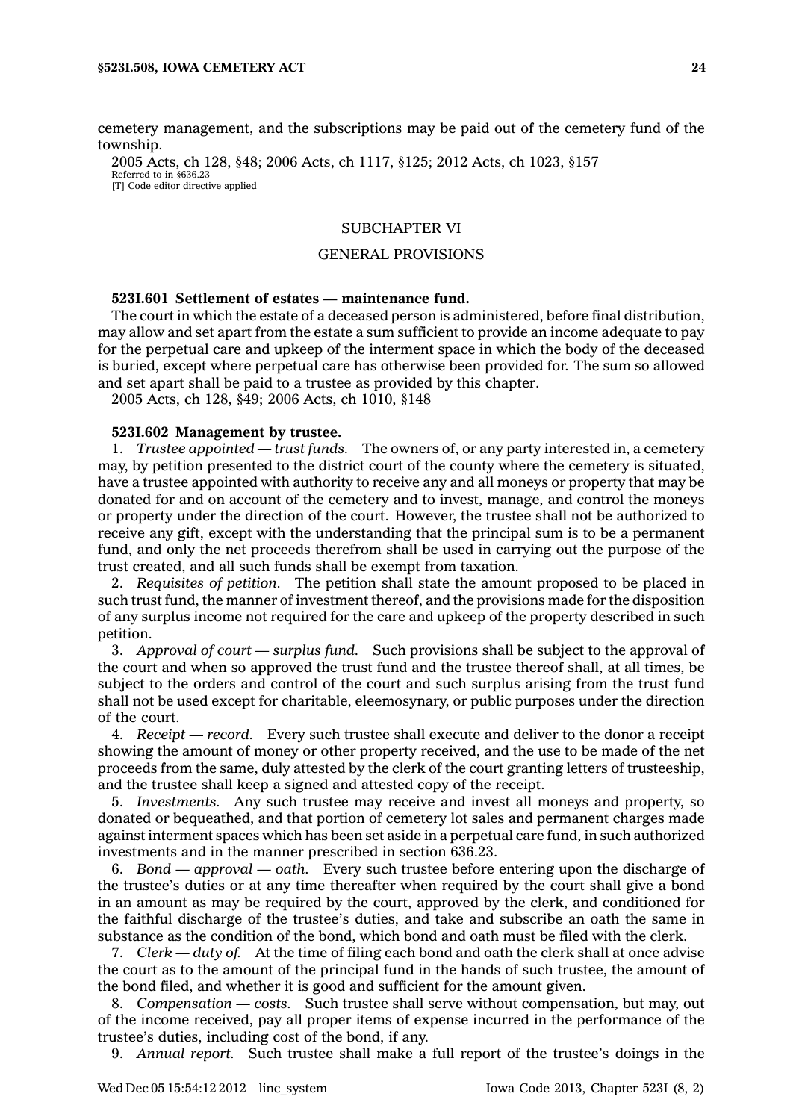cemetery management, and the subscriptions may be paid out of the cemetery fund of the township.

2005 Acts, ch 128, §48; 2006 Acts, ch 1117, §125; 2012 Acts, ch 1023, §157 Referred to in §636.23 [T] Code editor directive applied

## SUBCHAPTER VI

## GENERAL PROVISIONS

### **523I.601 Settlement of estates — maintenance fund.**

The court in which the estate of <sup>a</sup> deceased person is administered, before final distribution, may allow and set apart from the estate <sup>a</sup> sum sufficient to provide an income adequate to pay for the perpetual care and upkeep of the interment space in which the body of the deceased is buried, except where perpetual care has otherwise been provided for. The sum so allowed and set apart shall be paid to <sup>a</sup> trustee as provided by this chapter.

2005 Acts, ch 128, §49; 2006 Acts, ch 1010, §148

#### **523I.602 Management by trustee.**

1. *Trustee appointed — trust funds.* The owners of, or any party interested in, <sup>a</sup> cemetery may, by petition presented to the district court of the county where the cemetery is situated, have <sup>a</sup> trustee appointed with authority to receive any and all moneys or property that may be donated for and on account of the cemetery and to invest, manage, and control the moneys or property under the direction of the court. However, the trustee shall not be authorized to receive any gift, except with the understanding that the principal sum is to be <sup>a</sup> permanent fund, and only the net proceeds therefrom shall be used in carrying out the purpose of the trust created, and all such funds shall be exempt from taxation.

2. *Requisites of petition.* The petition shall state the amount proposed to be placed in such trust fund, the manner of investment thereof, and the provisions made for the disposition of any surplus income not required for the care and upkeep of the property described in such petition.

3. *Approval of court —surplus fund.* Such provisions shall be subject to the approval of the court and when so approved the trust fund and the trustee thereof shall, at all times, be subject to the orders and control of the court and such surplus arising from the trust fund shall not be used except for charitable, eleemosynary, or public purposes under the direction of the court.

4. *Receipt —record.* Every such trustee shall execute and deliver to the donor <sup>a</sup> receipt showing the amount of money or other property received, and the use to be made of the net proceeds from the same, duly attested by the clerk of the court granting letters of trusteeship, and the trustee shall keep <sup>a</sup> signed and attested copy of the receipt.

5. *Investments.* Any such trustee may receive and invest all moneys and property, so donated or bequeathed, and that portion of cemetery lot sales and permanent charges made against interment spaces which has been set aside in <sup>a</sup> perpetual care fund, in such authorized investments and in the manner prescribed in section 636.23.

6. *Bond — approval —oath.* Every such trustee before entering upon the discharge of the trustee's duties or at any time thereafter when required by the court shall give <sup>a</sup> bond in an amount as may be required by the court, approved by the clerk, and conditioned for the faithful discharge of the trustee's duties, and take and subscribe an oath the same in substance as the condition of the bond, which bond and oath must be filed with the clerk.

7. *Clerk — duty of.* At the time of filing each bond and oath the clerk shall at once advise the court as to the amount of the principal fund in the hands of such trustee, the amount of the bond filed, and whether it is good and sufficient for the amount given.

8. *Compensation — costs.* Such trustee shall serve without compensation, but may, out of the income received, pay all proper items of expense incurred in the performance of the trustee's duties, including cost of the bond, if any.

9. *Annual report.* Such trustee shall make <sup>a</sup> full report of the trustee's doings in the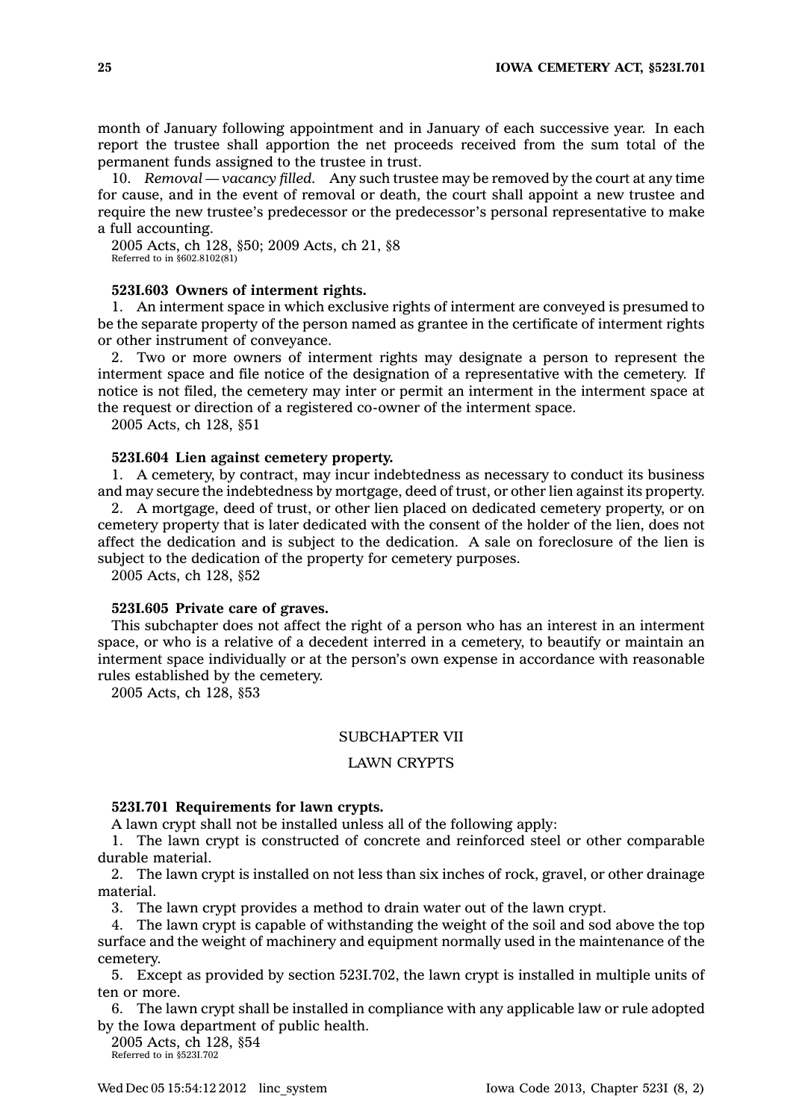month of January following appointment and in January of each successive year. In each report the trustee shall apportion the net proceeds received from the sum total of the permanent funds assigned to the trustee in trust.

10. *Removal — vacancy filled.* Any such trustee may be removed by the court at any time for cause, and in the event of removal or death, the court shall appoint <sup>a</sup> new trustee and require the new trustee's predecessor or the predecessor's personal representative to make <sup>a</sup> full accounting.

2005 Acts, ch 128, §50; 2009 Acts, ch 21, §8 Referred to in §602.8102(81)

### **523I.603 Owners of interment rights.**

1. An interment space in which exclusive rights of interment are conveyed is presumed to be the separate property of the person named as grantee in the certificate of interment rights or other instrument of conveyance.

2. Two or more owners of interment rights may designate <sup>a</sup> person to represent the interment space and file notice of the designation of <sup>a</sup> representative with the cemetery. If notice is not filed, the cemetery may inter or permit an interment in the interment space at the request or direction of <sup>a</sup> registered co-owner of the interment space.

2005 Acts, ch 128, §51

#### **523I.604 Lien against cemetery property.**

1. A cemetery, by contract, may incur indebtedness as necessary to conduct its business and may secure the indebtedness by mortgage, deed of trust, or other lien against its property.

2. A mortgage, deed of trust, or other lien placed on dedicated cemetery property, or on cemetery property that is later dedicated with the consent of the holder of the lien, does not affect the dedication and is subject to the dedication. A sale on foreclosure of the lien is subject to the dedication of the property for cemetery purposes.

2005 Acts, ch 128, §52

## **523I.605 Private care of graves.**

This subchapter does not affect the right of <sup>a</sup> person who has an interest in an interment space, or who is <sup>a</sup> relative of <sup>a</sup> decedent interred in <sup>a</sup> cemetery, to beautify or maintain an interment space individually or at the person's own expense in accordance with reasonable rules established by the cemetery.

2005 Acts, ch 128, §53

### SUBCHAPTER VII

### LAWN CRYPTS

## **523I.701 Requirements for lawn crypts.**

A lawn crypt shall not be installed unless all of the following apply:

1. The lawn crypt is constructed of concrete and reinforced steel or other comparable durable material.

2. The lawn crypt is installed on not less than six inches of rock, gravel, or other drainage material.

3. The lawn crypt provides <sup>a</sup> method to drain water out of the lawn crypt.

4. The lawn crypt is capable of withstanding the weight of the soil and sod above the top surface and the weight of machinery and equipment normally used in the maintenance of the cemetery.

5. Except as provided by section 523I.702, the lawn crypt is installed in multiple units of ten or more.

6. The lawn crypt shall be installed in compliance with any applicable law or rule adopted by the Iowa department of public health.

2005 Acts, ch 128, §54 Referred to in §523I.702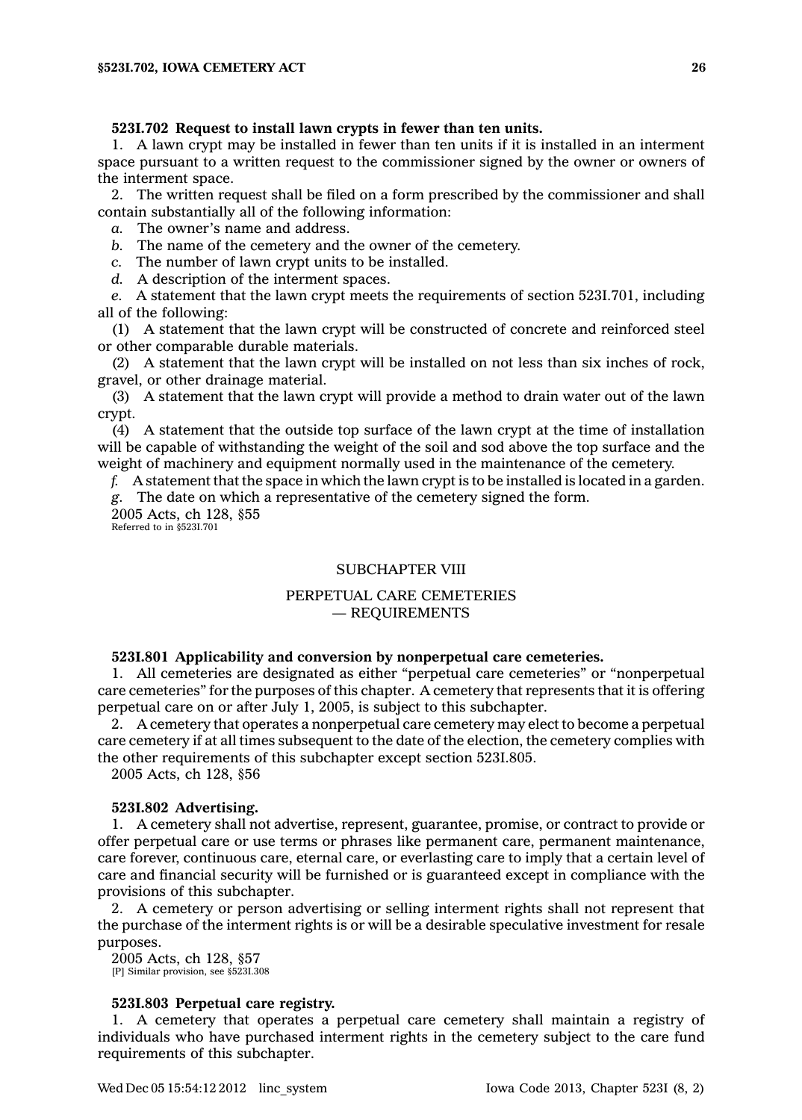### **523I.702 Request to install lawn crypts in fewer than ten units.**

1. A lawn crypt may be installed in fewer than ten units if it is installed in an interment space pursuant to <sup>a</sup> written request to the commissioner signed by the owner or owners of the interment space.

2. The written request shall be filed on <sup>a</sup> form prescribed by the commissioner and shall contain substantially all of the following information:

*a.* The owner's name and address.

*b.* The name of the cemetery and the owner of the cemetery.

*c.* The number of lawn crypt units to be installed.

*d.* A description of the interment spaces.

*e.* A statement that the lawn crypt meets the requirements of section 523I.701, including all of the following:

(1) A statement that the lawn crypt will be constructed of concrete and reinforced steel or other comparable durable materials.

(2) A statement that the lawn crypt will be installed on not less than six inches of rock, gravel, or other drainage material.

(3) A statement that the lawn crypt will provide <sup>a</sup> method to drain water out of the lawn crypt.

(4) A statement that the outside top surface of the lawn crypt at the time of installation will be capable of withstanding the weight of the soil and sod above the top surface and the weight of machinery and equipment normally used in the maintenance of the cemetery.

*f.* A statement that the space in which the lawn crypt is to be installed is located in <sup>a</sup> garden.

*g.* The date on which <sup>a</sup> representative of the cemetery signed the form.

2005 Acts, ch 128, §55 Referred to in §523I.701

## SUBCHAPTER VIII

## PERPETUAL CARE CEMETERIES — REQUIREMENTS

## **523I.801 Applicability and conversion by nonperpetual care cemeteries.**

1. All cemeteries are designated as either "perpetual care cemeteries" or "nonperpetual care cemeteries" for the purposes of this chapter. A cemetery that represents that it is offering perpetual care on or after July 1, 2005, is subject to this subchapter.

2. A cemetery that operates <sup>a</sup> nonperpetual care cemetery may elect to become <sup>a</sup> perpetual care cemetery if at all times subsequent to the date of the election, the cemetery complies with the other requirements of this subchapter except section 523I.805.

2005 Acts, ch 128, §56

### **523I.802 Advertising.**

1. A cemetery shall not advertise, represent, guarantee, promise, or contract to provide or offer perpetual care or use terms or phrases like permanent care, permanent maintenance, care forever, continuous care, eternal care, or everlasting care to imply that <sup>a</sup> certain level of care and financial security will be furnished or is guaranteed except in compliance with the provisions of this subchapter.

2. A cemetery or person advertising or selling interment rights shall not represent that the purchase of the interment rights is or will be <sup>a</sup> desirable speculative investment for resale purposes.

2005 Acts, ch 128, §57 [P] Similar provision, see §523I.308

## **523I.803 Perpetual care registry.**

1. A cemetery that operates <sup>a</sup> perpetual care cemetery shall maintain <sup>a</sup> registry of individuals who have purchased interment rights in the cemetery subject to the care fund requirements of this subchapter.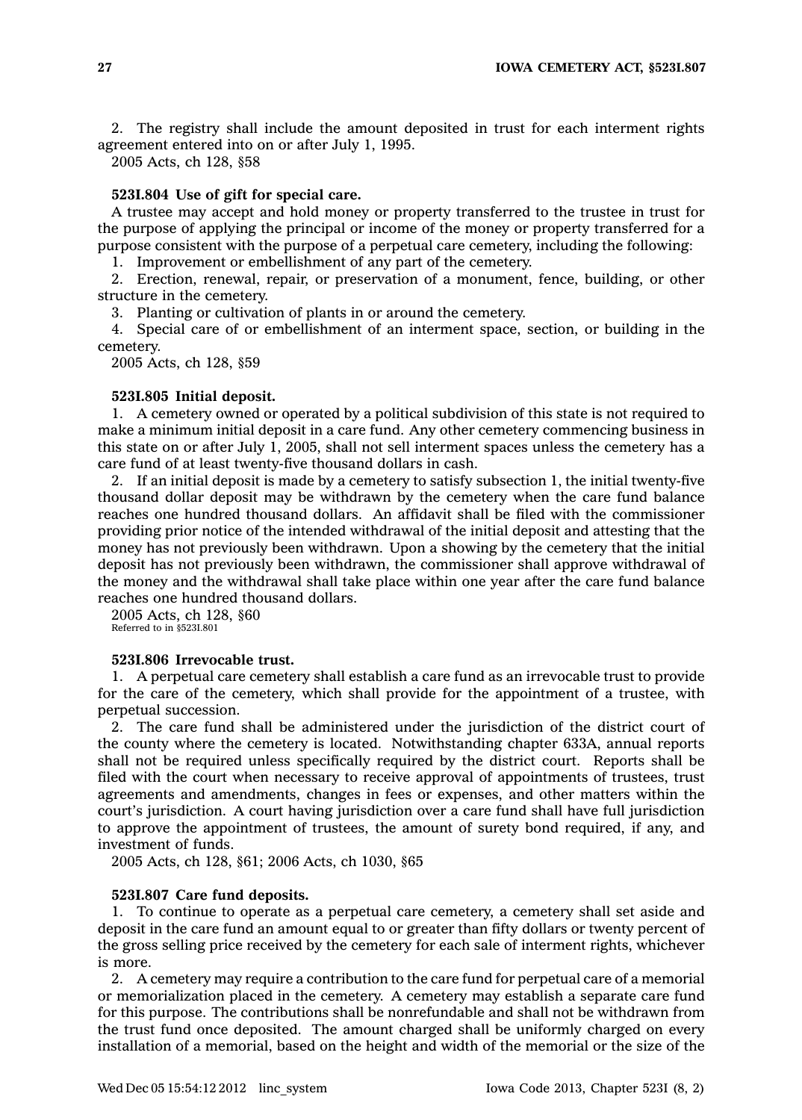2. The registry shall include the amount deposited in trust for each interment rights agreement entered into on or after July 1, 1995.

2005 Acts, ch 128, §58

## **523I.804 Use of gift for special care.**

A trustee may accept and hold money or property transferred to the trustee in trust for the purpose of applying the principal or income of the money or property transferred for <sup>a</sup> purpose consistent with the purpose of <sup>a</sup> perpetual care cemetery, including the following:

1. Improvement or embellishment of any part of the cemetery.

2. Erection, renewal, repair, or preservation of <sup>a</sup> monument, fence, building, or other structure in the cemetery.

3. Planting or cultivation of plants in or around the cemetery.

4. Special care of or embellishment of an interment space, section, or building in the cemetery.

2005 Acts, ch 128, §59

## **523I.805 Initial deposit.**

1. A cemetery owned or operated by <sup>a</sup> political subdivision of this state is not required to make <sup>a</sup> minimum initial deposit in <sup>a</sup> care fund. Any other cemetery commencing business in this state on or after July 1, 2005, shall not sell interment spaces unless the cemetery has <sup>a</sup> care fund of at least twenty-five thousand dollars in cash.

2. If an initial deposit is made by <sup>a</sup> cemetery to satisfy subsection 1, the initial twenty-five thousand dollar deposit may be withdrawn by the cemetery when the care fund balance reaches one hundred thousand dollars. An affidavit shall be filed with the commissioner providing prior notice of the intended withdrawal of the initial deposit and attesting that the money has not previously been withdrawn. Upon <sup>a</sup> showing by the cemetery that the initial deposit has not previously been withdrawn, the commissioner shall approve withdrawal of the money and the withdrawal shall take place within one year after the care fund balance reaches one hundred thousand dollars.

2005 Acts, ch 128, §60 Referred to in §523I.801

#### **523I.806 Irrevocable trust.**

1. A perpetual care cemetery shall establish <sup>a</sup> care fund as an irrevocable trust to provide for the care of the cemetery, which shall provide for the appointment of <sup>a</sup> trustee, with perpetual succession.

2. The care fund shall be administered under the jurisdiction of the district court of the county where the cemetery is located. Notwithstanding chapter 633A, annual reports shall not be required unless specifically required by the district court. Reports shall be filed with the court when necessary to receive approval of appointments of trustees, trust agreements and amendments, changes in fees or expenses, and other matters within the court's jurisdiction. A court having jurisdiction over <sup>a</sup> care fund shall have full jurisdiction to approve the appointment of trustees, the amount of surety bond required, if any, and investment of funds.

2005 Acts, ch 128, §61; 2006 Acts, ch 1030, §65

#### **523I.807 Care fund deposits.**

1. To continue to operate as <sup>a</sup> perpetual care cemetery, <sup>a</sup> cemetery shall set aside and deposit in the care fund an amount equal to or greater than fifty dollars or twenty percent of the gross selling price received by the cemetery for each sale of interment rights, whichever is more.

2. A cemetery may require <sup>a</sup> contribution to the care fund for perpetual care of <sup>a</sup> memorial or memorialization placed in the cemetery. A cemetery may establish <sup>a</sup> separate care fund for this purpose. The contributions shall be nonrefundable and shall not be withdrawn from the trust fund once deposited. The amount charged shall be uniformly charged on every installation of <sup>a</sup> memorial, based on the height and width of the memorial or the size of the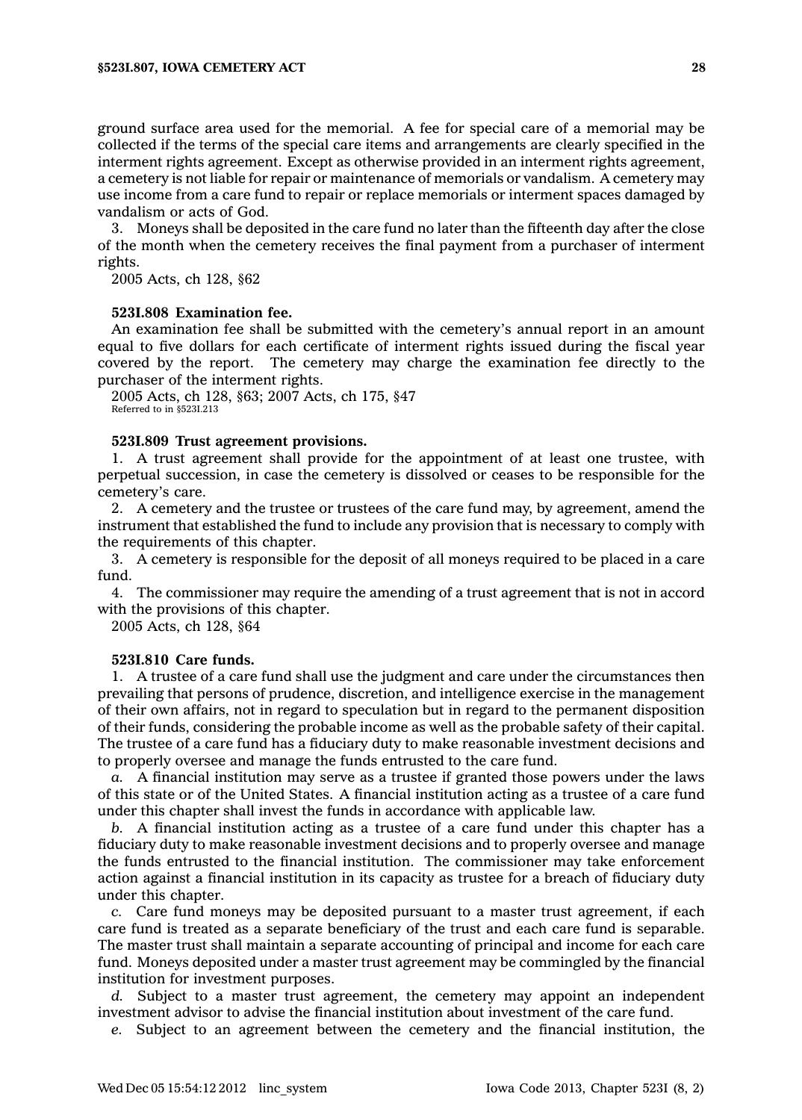ground surface area used for the memorial. A fee for special care of <sup>a</sup> memorial may be collected if the terms of the special care items and arrangements are clearly specified in the interment rights agreement. Except as otherwise provided in an interment rights agreement, <sup>a</sup> cemetery is not liable for repair or maintenance of memorials or vandalism. A cemetery may use income from <sup>a</sup> care fund to repair or replace memorials or interment spaces damaged by vandalism or acts of God.

3. Moneys shall be deposited in the care fund no later than the fifteenth day after the close of the month when the cemetery receives the final payment from <sup>a</sup> purchaser of interment rights.

2005 Acts, ch 128, §62

## **523I.808 Examination fee.**

An examination fee shall be submitted with the cemetery's annual report in an amount equal to five dollars for each certificate of interment rights issued during the fiscal year covered by the report. The cemetery may charge the examination fee directly to the purchaser of the interment rights.

2005 Acts, ch 128, §63; 2007 Acts, ch 175, §47 Referred to in §523I.213

## **523I.809 Trust agreement provisions.**

1. A trust agreement shall provide for the appointment of at least one trustee, with perpetual succession, in case the cemetery is dissolved or ceases to be responsible for the cemetery's care.

2. A cemetery and the trustee or trustees of the care fund may, by agreement, amend the instrument that established the fund to include any provision that is necessary to comply with the requirements of this chapter.

3. A cemetery is responsible for the deposit of all moneys required to be placed in <sup>a</sup> care fund.

4. The commissioner may require the amending of <sup>a</sup> trust agreement that is not in accord with the provisions of this chapter.

2005 Acts, ch 128, §64

#### **523I.810 Care funds.**

1. A trustee of <sup>a</sup> care fund shall use the judgment and care under the circumstances then prevailing that persons of prudence, discretion, and intelligence exercise in the management of their own affairs, not in regard to speculation but in regard to the permanent disposition of their funds, considering the probable income as well as the probable safety of their capital. The trustee of <sup>a</sup> care fund has <sup>a</sup> fiduciary duty to make reasonable investment decisions and to properly oversee and manage the funds entrusted to the care fund.

*a.* A financial institution may serve as <sup>a</sup> trustee if granted those powers under the laws of this state or of the United States. A financial institution acting as <sup>a</sup> trustee of <sup>a</sup> care fund under this chapter shall invest the funds in accordance with applicable law.

*b.* A financial institution acting as <sup>a</sup> trustee of <sup>a</sup> care fund under this chapter has <sup>a</sup> fiduciary duty to make reasonable investment decisions and to properly oversee and manage the funds entrusted to the financial institution. The commissioner may take enforcement action against <sup>a</sup> financial institution in its capacity as trustee for <sup>a</sup> breach of fiduciary duty under this chapter.

*c.* Care fund moneys may be deposited pursuant to <sup>a</sup> master trust agreement, if each care fund is treated as <sup>a</sup> separate beneficiary of the trust and each care fund is separable. The master trust shall maintain <sup>a</sup> separate accounting of principal and income for each care fund. Moneys deposited under <sup>a</sup> master trust agreement may be commingled by the financial institution for investment purposes.

*d.* Subject to <sup>a</sup> master trust agreement, the cemetery may appoint an independent investment advisor to advise the financial institution about investment of the care fund.

*e.* Subject to an agreement between the cemetery and the financial institution, the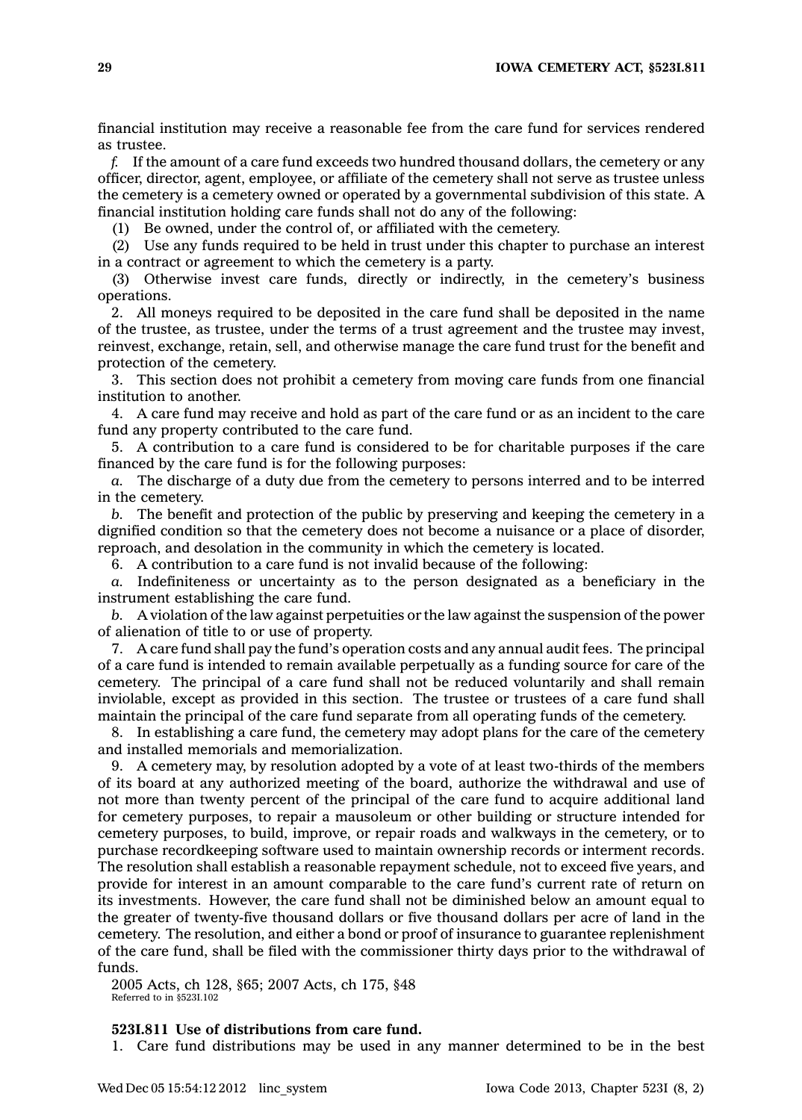financial institution may receive <sup>a</sup> reasonable fee from the care fund for services rendered as trustee.

*f.* If the amount of <sup>a</sup> care fund exceeds two hundred thousand dollars, the cemetery or any officer, director, agent, employee, or affiliate of the cemetery shall not serve as trustee unless the cemetery is <sup>a</sup> cemetery owned or operated by <sup>a</sup> governmental subdivision of this state. A financial institution holding care funds shall not do any of the following:

(1) Be owned, under the control of, or affiliated with the cemetery.

(2) Use any funds required to be held in trust under this chapter to purchase an interest in <sup>a</sup> contract or agreement to which the cemetery is <sup>a</sup> party.

(3) Otherwise invest care funds, directly or indirectly, in the cemetery's business operations.

2. All moneys required to be deposited in the care fund shall be deposited in the name of the trustee, as trustee, under the terms of <sup>a</sup> trust agreement and the trustee may invest, reinvest, exchange, retain, sell, and otherwise manage the care fund trust for the benefit and protection of the cemetery.

3. This section does not prohibit <sup>a</sup> cemetery from moving care funds from one financial institution to another.

4. A care fund may receive and hold as part of the care fund or as an incident to the care fund any property contributed to the care fund.

5. A contribution to <sup>a</sup> care fund is considered to be for charitable purposes if the care financed by the care fund is for the following purposes:

*a.* The discharge of <sup>a</sup> duty due from the cemetery to persons interred and to be interred in the cemetery.

*b.* The benefit and protection of the public by preserving and keeping the cemetery in <sup>a</sup> dignified condition so that the cemetery does not become <sup>a</sup> nuisance or <sup>a</sup> place of disorder, reproach, and desolation in the community in which the cemetery is located.

6. A contribution to <sup>a</sup> care fund is not invalid because of the following:

*a.* Indefiniteness or uncertainty as to the person designated as <sup>a</sup> beneficiary in the instrument establishing the care fund.

*b.* A violation of the law against perpetuities or the law against the suspension of the power of alienation of title to or use of property.

7. A care fund shall pay the fund's operation costs and any annual audit fees. The principal of <sup>a</sup> care fund is intended to remain available perpetually as <sup>a</sup> funding source for care of the cemetery. The principal of <sup>a</sup> care fund shall not be reduced voluntarily and shall remain inviolable, except as provided in this section. The trustee or trustees of <sup>a</sup> care fund shall maintain the principal of the care fund separate from all operating funds of the cemetery.

8. In establishing <sup>a</sup> care fund, the cemetery may adopt plans for the care of the cemetery and installed memorials and memorialization.

9. A cemetery may, by resolution adopted by <sup>a</sup> vote of at least two-thirds of the members of its board at any authorized meeting of the board, authorize the withdrawal and use of not more than twenty percent of the principal of the care fund to acquire additional land for cemetery purposes, to repair <sup>a</sup> mausoleum or other building or structure intended for cemetery purposes, to build, improve, or repair roads and walkways in the cemetery, or to purchase recordkeeping software used to maintain ownership records or interment records. The resolution shall establish <sup>a</sup> reasonable repayment schedule, not to exceed five years, and provide for interest in an amount comparable to the care fund's current rate of return on its investments. However, the care fund shall not be diminished below an amount equal to the greater of twenty-five thousand dollars or five thousand dollars per acre of land in the cemetery. The resolution, and either <sup>a</sup> bond or proof of insurance to guarantee replenishment of the care fund, shall be filed with the commissioner thirty days prior to the withdrawal of funds.

2005 Acts, ch 128, §65; 2007 Acts, ch 175, §48 Referred to in §523I.102

## **523I.811 Use of distributions from care fund.**

1. Care fund distributions may be used in any manner determined to be in the best